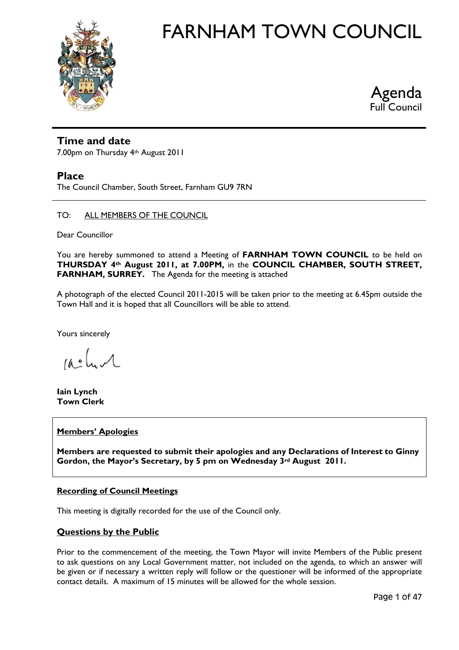



# **Time and date**

7.00pm on Thursday 4th August 2011

# **Place**

The Council Chamber, South Street, Farnham GU9 7RN

#### TO: ALL MEMBERS OF THE COUNCIL

Dear Councillor

You are hereby summoned to attend a Meeting of **FARNHAM TOWN COUNCIL** to be held on **THURSDAY 4th August 2011, at 7.00PM,** in the **COUNCIL CHAMBER, SOUTH STREET, FARNHAM, SURREY.** The Agenda for the meeting is attached

A photograph of the elected Council 2011-2015 will be taken prior to the meeting at 6.45pm outside the Town Hall and it is hoped that all Councillors will be able to attend.

Yours sincerely

 $10.2$ 

**Iain Lynch Town Clerk** 

# **Members' Apologies**

**Members are requested to submit their apologies and any Declarations of Interest to Ginny Gordon, the Mayor's Secretary, by 5 pm on Wednesday 3rd August 2011.** 

# **Recording of Council Meetings**

This meeting is digitally recorded for the use of the Council only.

# **Questions by the Public**

Prior to the commencement of the meeting, the Town Mayor will invite Members of the Public present to ask questions on any Local Government matter, not included on the agenda, to which an answer will be given or if necessary a written reply will follow or the questioner will be informed of the appropriate contact details. A maximum of 15 minutes will be allowed for the whole session.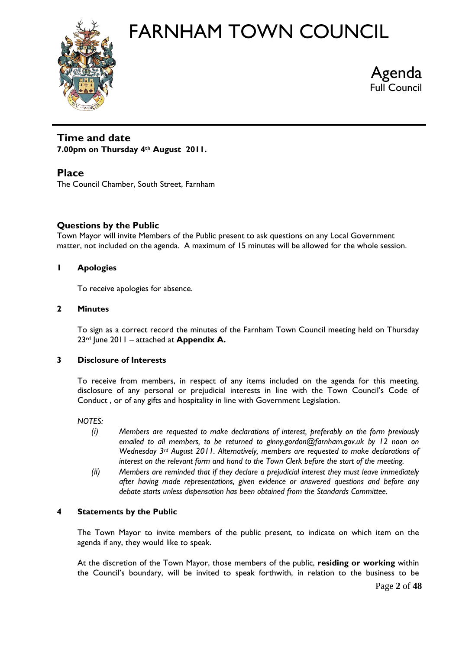



# **Time and date**

**7.00pm on Thursday 4th August 2011.** 

# **Place**

The Council Chamber, South Street, Farnham

# **Questions by the Public**

Town Mayor will invite Members of the Public present to ask questions on any Local Government matter, not included on the agenda. A maximum of 15 minutes will be allowed for the whole session.

# **1 Apologies**

To receive apologies for absence.

# **2 Minutes**

To sign as a correct record the minutes of the Farnham Town Council meeting held on Thursday 23rd June 2011 – attached at **Appendix A.** 

# **3 Disclosure of Interests**

To receive from members, in respect of any items included on the agenda for this meeting, disclosure of any personal or prejudicial interests in line with the Town Council's Code of Conduct , or of any gifts and hospitality in line with Government Legislation.

*NOTES:*

- *(i) Members are requested to make declarations of interest, preferably on the form previously emailed to all members, to be returned to ginny.gordon@farnham.gov.uk by 12 noon on Wednesday 3rd August 2011. Alternatively, members are requested to make declarations of interest on the relevant form and hand to the Town Clerk before the start of the meeting.*
- *(ii) Members are reminded that if they declare a prejudicial interest they must leave immediately after having made representations, given evidence or answered questions and before any debate starts unless dispensation has been obtained from the Standards Committee.*

# **4 Statements by the Public**

The Town Mayor to invite members of the public present, to indicate on which item on the agenda if any, they would like to speak.

At the discretion of the Town Mayor, those members of the public, **residing or working** within the Council's boundary, will be invited to speak forthwith, in relation to the business to be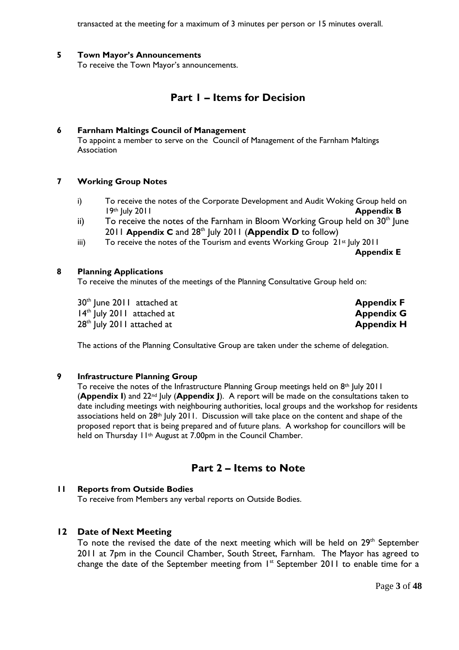transacted at the meeting for a maximum of 3 minutes per person or 15 minutes overall.

## **5 Town Mayor's Announcements**

To receive the Town Mayor's announcements.

# **Part 1 – Items for Decision**

#### **6 Farnham Maltings Council of Management**

To appoint a member to serve on the Council of Management of the Farnham Maltings Association

#### **7 Working Group Notes**

- i) To receive the notes of the Corporate Development and Audit Woking Group held on 19th July 2011 **Appendix B**
- ii) To receive the notes of the Farnham in Bloom Working Group held on  $30<sup>th</sup>$  lune 2011 **Appendix C** and 28<sup>th</sup> July 2011 (**Appendix D** to follow)
- iii) To receive the notes of the Tourism and events Working Group  $21st$  July 2011

**Appendix E** 

#### **8 Planning Applications**

To receive the minutes of the meetings of the Planning Consultative Group held on:

30<sup>th</sup> June 2011 attached at **Appendix F Appendix F** 14th July 2011 attached at **Appendix G**  28<sup>th</sup> July 2011 attached at **Appendix H Appendix H** 

The actions of the Planning Consultative Group are taken under the scheme of delegation.

# **9 Infrastructure Planning Group**

To receive the notes of the Infrastructure Planning Group meetings held on 8<sup>th</sup> July 2011 (**Appendix I**) and 22nd July (**Appendix J**). A report will be made on the consultations taken to date including meetings with neighbouring authorities, local groups and the workshop for residents associations held on 28<sup>th</sup> July 2011. Discussion will take place on the content and shape of the proposed report that is being prepared and of future plans. A workshop for councillors will be held on Thursday 11<sup>th</sup> August at 7.00pm in the Council Chamber.

# **Part 2 – Items to Note**

# **11 Reports from Outside Bodies**

To receive from Members any verbal reports on Outside Bodies.

# **12 Date of Next Meeting**

To note the revised the date of the next meeting which will be held on  $29<sup>th</sup>$  September 2011 at 7pm in the Council Chamber, South Street, Farnham. The Mayor has agreed to change the date of the September meeting from 1st September 2011 to enable time for a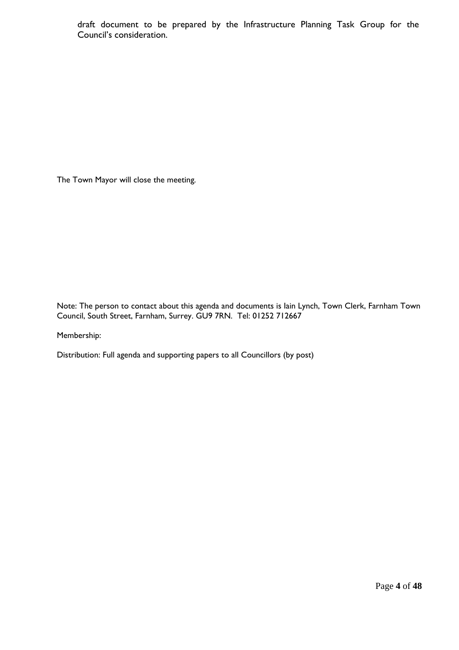draft document to be prepared by the Infrastructure Planning Task Group for the Council's consideration.

The Town Mayor will close the meeting.

Note: The person to contact about this agenda and documents is Iain Lynch, Town Clerk, Farnham Town Council, South Street, Farnham, Surrey. GU9 7RN. Tel: 01252 712667

Membership:

Distribution: Full agenda and supporting papers to all Councillors (by post)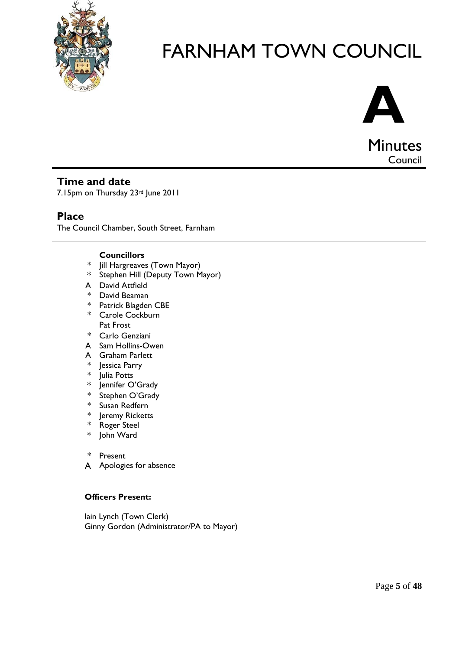



Council

# **Time and date**

7.15pm on Thursday 23rd June 2011

# **Place**

The Council Chamber, South Street, Farnham

# **Councillors**

- \* Jill Hargreaves (Town Mayor)
- \* Stephen Hill (Deputy Town Mayor)
- A David Attfield
- \* David Beaman
- \* Patrick Blagden CBE
- \* Carole Cockburn Pat Frost
- \* Carlo Genziani
- A Sam Hollins-Owen
- A Graham Parlett
- \* Jessica Parry
- \* Julia Potts
- \* Jennifer O'Grady
- \* Stephen O'Grady
- \* Susan Redfern
- \* Jeremy Ricketts
- \* Roger Steel
- \* John Ward
- \* Present
- A Apologies for absence

# **Officers Present:**

 Iain Lynch (Town Clerk) Ginny Gordon (Administrator/PA to Mayor)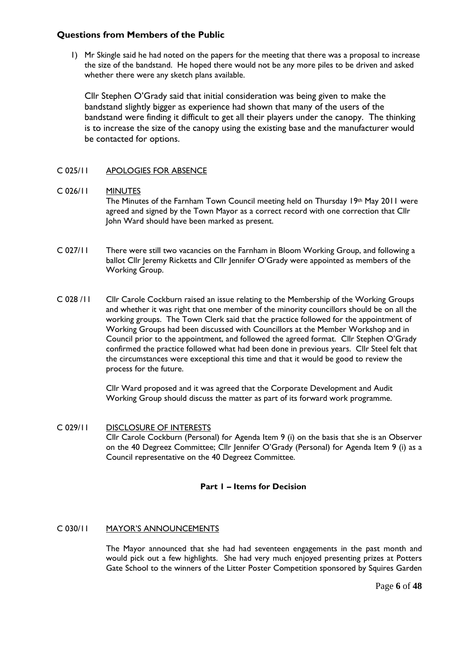# **Questions from Members of the Public**

1) Mr Skingle said he had noted on the papers for the meeting that there was a proposal to increase the size of the bandstand. He hoped there would not be any more piles to be driven and asked whether there were any sketch plans available.

Cllr Stephen O'Grady said that initial consideration was being given to make the bandstand slightly bigger as experience had shown that many of the users of the bandstand were finding it difficult to get all their players under the canopy. The thinking is to increase the size of the canopy using the existing base and the manufacturer would be contacted for options.

# C 025/11 APOLOGIES FOR ABSENCE

#### C 026/11 MINUTES

The Minutes of the Farnham Town Council meeting held on Thursday  $19<sup>th</sup>$  May 2011 were agreed and signed by the Town Mayor as a correct record with one correction that Cllr John Ward should have been marked as present.

- C 027/11 There were still two vacancies on the Farnham in Bloom Working Group, and following a ballot Cllr Jeremy Ricketts and Cllr Jennifer O'Grady were appointed as members of the Working Group.
- C 028 /11 Cllr Carole Cockburn raised an issue relating to the Membership of the Working Groups and whether it was right that one member of the minority councillors should be on all the working groups. The Town Clerk said that the practice followed for the appointment of Working Groups had been discussed with Councillors at the Member Workshop and in Council prior to the appointment, and followed the agreed format. Cllr Stephen O'Grady confirmed the practice followed what had been done in previous years. Cllr Steel felt that the circumstances were exceptional this time and that it would be good to review the process for the future.

 Cllr Ward proposed and it was agreed that the Corporate Development and Audit Working Group should discuss the matter as part of its forward work programme.

C 029/11 DISCLOSURE OF INTERESTS Cllr Carole Cockburn (Personal) for Agenda Item 9 (i) on the basis that she is an Observer on the 40 Degreez Committee; Cllr Jennifer O'Grady (Personal) for Agenda Item 9 (i) as a Council representative on the 40 Degreez Committee.

# **Part 1 – Items for Decision**

#### C 030/11 MAYOR'S ANNOUNCEMENTS

 The Mayor announced that she had had seventeen engagements in the past month and would pick out a few highlights. She had very much enjoyed presenting prizes at Potters Gate School to the winners of the Litter Poster Competition sponsored by Squires Garden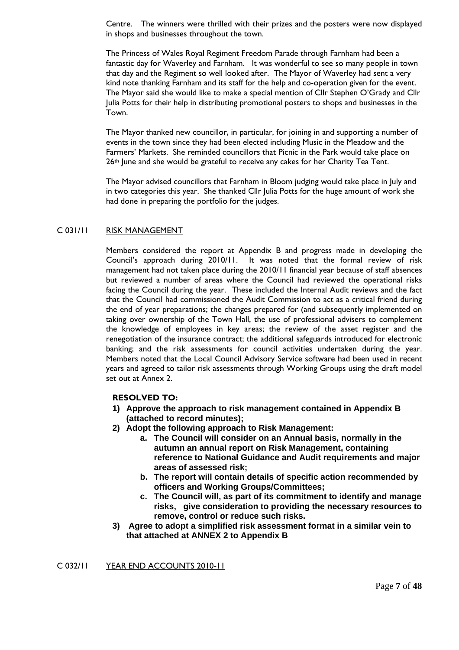Centre. The winners were thrilled with their prizes and the posters were now displayed in shops and businesses throughout the town.

The Princess of Wales Royal Regiment Freedom Parade through Farnham had been a fantastic day for Waverley and Farnham. It was wonderful to see so many people in town that day and the Regiment so well looked after. The Mayor of Waverley had sent a very kind note thanking Farnham and its staff for the help and co-operation given for the event. The Mayor said she would like to make a special mention of Cllr Stephen O'Grady and Cllr Julia Potts for their help in distributing promotional posters to shops and businesses in the Town.

The Mayor thanked new councillor, in particular, for joining in and supporting a number of events in the town since they had been elected including Music in the Meadow and the Farmers' Markets. She reminded councillors that Picnic in the Park would take place on 26<sup>th</sup> June and she would be grateful to receive any cakes for her Charity Tea Tent.

The Mayor advised councillors that Farnham in Bloom judging would take place in July and in two categories this year. She thanked Cllr Julia Potts for the huge amount of work she had done in preparing the portfolio for the judges.

#### C 031/11 RISK MANAGEMENT

Members considered the report at Appendix B and progress made in developing the Council's approach during 2010/11. It was noted that the formal review of risk management had not taken place during the 2010/11 financial year because of staff absences but reviewed a number of areas where the Council had reviewed the operational risks facing the Council during the year. These included the Internal Audit reviews and the fact that the Council had commissioned the Audit Commission to act as a critical friend during the end of year preparations; the changes prepared for (and subsequently implemented on taking over ownership of the Town Hall, the use of professional advisers to complement the knowledge of employees in key areas; the review of the asset register and the renegotiation of the insurance contract; the additional safeguards introduced for electronic banking; and the risk assessments for council activities undertaken during the year. Members noted that the Local Council Advisory Service software had been used in recent years and agreed to tailor risk assessments through Working Groups using the draft model set out at Annex 2.

#### **RESOLVED TO:**

- **1) Approve the approach to risk management contained in Appendix B (attached to record minutes);**
- **2) Adopt the following approach to Risk Management:** 
	- **a. The Council will consider on an Annual basis, normally in the autumn an annual report on Risk Management, containing reference to National Guidance and Audit requirements and major areas of assessed risk;**
	- **b. The report will contain details of specific action recommended by officers and Working Groups/Committees;**
	- **c. The Council will, as part of its commitment to identify and manage risks, give consideration to providing the necessary resources to remove, control or reduce such risks.**
- **3) Agree to adopt a simplified risk assessment format in a similar vein to that attached at ANNEX 2 to Appendix B**

C 032/11 YEAR END ACCOUNTS 2010-11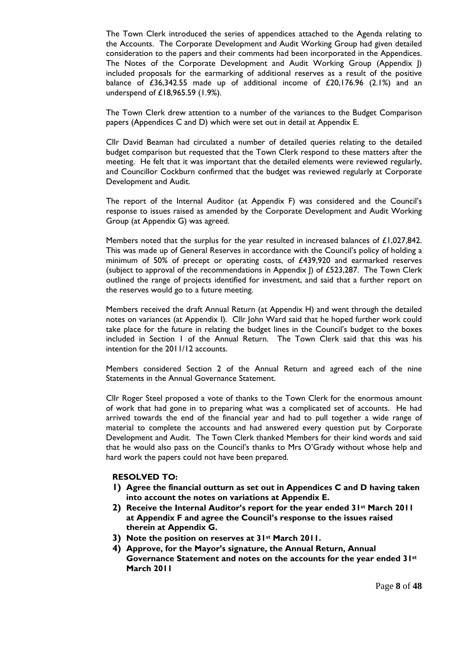The Town Clerk introduced the series of appendices attached to the Agenda relating to the Accounts. The Corporate Development and Audit Working Group had given detailed consideration to the papers and their comments had been incorporated in the Appendices. The Notes of the Corporate Development and Audit Working Group (Appendix J) included proposals for the earmarking of additional reserves as a result of the positive balance of  $£36,342.55$  made up of additional income of  $£20,176.96$  (2.1%) and an underspend of £18,965.59 (1.9%).

 The Town Clerk drew attention to a number of the variances to the Budget Comparison papers (Appendices C and D) which were set out in detail at Appendix E.

 Cllr David Beaman had circulated a number of detailed queries relating to the detailed budget comparison but requested that the Town Clerk respond to these matters after the meeting. He felt that it was important that the detailed elements were reviewed regularly, and Councillor Cockburn confirmed that the budget was reviewed regularly at Corporate Development and Audit.

 The report of the Internal Auditor (at Appendix F) was considered and the Council's response to issues raised as amended by the Corporate Development and Audit Working Group (at Appendix G) was agreed.

Members noted that the surplus for the year resulted in increased balances of £1,027,842. This was made up of General Reserves in accordance with the Council's policy of holding a minimum of 50% of precept or operating costs, of £439,920 and earmarked reserves (subject to approval of the recommendations in Appendix  $\vert$ ) of £523,287. The Town Clerk outlined the range of projects identified for investment, and said that a further report on the reserves would go to a future meeting.

 Members received the draft Annual Return (at Appendix H) and went through the detailed notes on variances (at Appendix I). Cllr John Ward said that he hoped further work could take place for the future in relating the budget lines in the Council's budget to the boxes included in Section 1 of the Annual Return. The Town Clerk said that this was his intention for the 2011/12 accounts.

 Members considered Section 2 of the Annual Return and agreed each of the nine Statements in the Annual Governance Statement.

 Cllr Roger Steel proposed a vote of thanks to the Town Clerk for the enormous amount of work that had gone in to preparing what was a complicated set of accounts. He had arrived towards the end of the financial year and had to pull together a wide range of material to complete the accounts and had answered every question put by Corporate Development and Audit. The Town Clerk thanked Members for their kind words and said that he would also pass on the Council's thanks to Mrs O'Grady without whose help and hard work the papers could not have been prepared.

#### **RESOLVED TO:**

- **1) Agree the financial outturn as set out in Appendices C and D having taken into account the notes on variations at Appendix E.**
- **2) Receive the Internal Auditor's report for the year ended 31st March 2011 at Appendix F and agree the Council's response to the issues raised therein at Appendix G.**
- **3) Note the position on reserves at 31st March 2011.**
- **4) Approve, for the Mayor's signature, the Annual Return, Annual Governance Statement and notes on the accounts for the year ended 31st March 2011**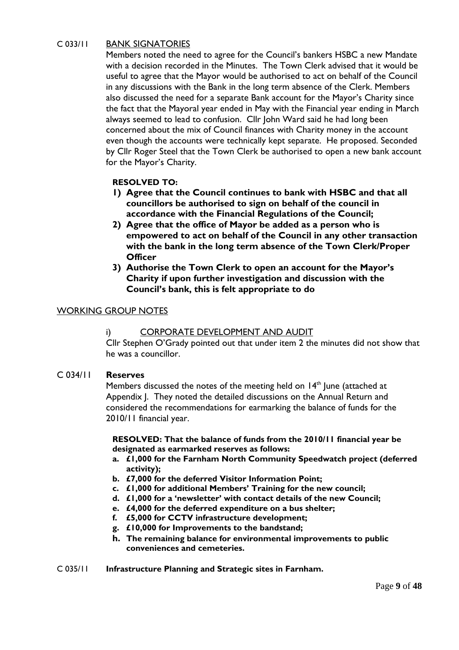# C 033/11 BANK SIGNATORIES

 Members noted the need to agree for the Council's bankers HSBC a new Mandate with a decision recorded in the Minutes. The Town Clerk advised that it would be useful to agree that the Mayor would be authorised to act on behalf of the Council in any discussions with the Bank in the long term absence of the Clerk. Members also discussed the need for a separate Bank account for the Mayor's Charity since the fact that the Mayoral year ended in May with the Financial year ending in March always seemed to lead to confusion. Cllr John Ward said he had long been concerned about the mix of Council finances with Charity money in the account even though the accounts were technically kept separate. He proposed. Seconded by Cllr Roger Steel that the Town Clerk be authorised to open a new bank account for the Mayor's Charity.

# **RESOLVED TO:**

- **1) Agree that the Council continues to bank with HSBC and that all councillors be authorised to sign on behalf of the council in accordance with the Financial Regulations of the Council;**
- **2) Agree that the office of Mayor be added as a person who is empowered to act on behalf of the Council in any other transaction with the bank in the long term absence of the Town Clerk/Proper Officer**
- **3) Authorise the Town Clerk to open an account for the Mayor's Charity if upon further investigation and discussion with the Council's bank, this is felt appropriate to do**

# WORKING GROUP NOTES

i) CORPORATE DEVELOPMENT AND AUDIT

Cllr Stephen O'Grady pointed out that under item 2 the minutes did not show that he was a councillor.

# C 034/11 **Reserves**

Members discussed the notes of the meeting held on 14<sup>th</sup> June (attached at Appendix J. They noted the detailed discussions on the Annual Return and considered the recommendations for earmarking the balance of funds for the 2010/11 financial year.

**RESOLVED: That the balance of funds from the 2010/11 financial year be designated as earmarked reserves as follows:** 

- **a. £1,000 for the Farnham North Community Speedwatch project (deferred activity);**
- **b. £7,000 for the deferred Visitor Information Point;**
- **c. £1,000 for additional Members' Training for the new council;**
- **d. £1,000 for a 'newsletter' with contact details of the new Council;**
- **e. £4,000 for the deferred expenditure on a bus shelter;**
- **f. £5,000 for CCTV infrastructure development;**
- **g. £10,000 for Improvements to the bandstand;**
- **h. The remaining balance for environmental improvements to public conveniences and cemeteries.**
- C 035/11 **Infrastructure Planning and Strategic sites in Farnham.**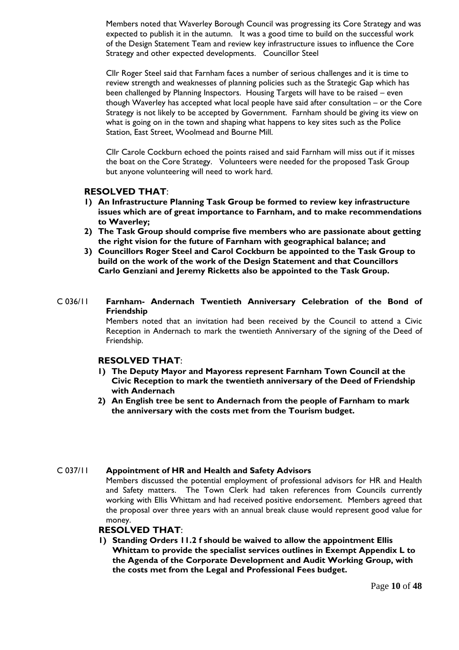Members noted that Waverley Borough Council was progressing its Core Strategy and was expected to publish it in the autumn. It was a good time to build on the successful work of the Design Statement Team and review key infrastructure issues to influence the Core Strategy and other expected developments. Councillor Steel

 Cllr Roger Steel said that Farnham faces a number of serious challenges and it is time to review strength and weaknesses of planning policies such as the Strategic Gap which has been challenged by Planning Inspectors. Housing Targets will have to be raised – even though Waverley has accepted what local people have said after consultation – or the Core Strategy is not likely to be accepted by Government. Farnham should be giving its view on what is going on in the town and shaping what happens to key sites such as the Police Station, East Street, Woolmead and Bourne Mill.

 Cllr Carole Cockburn echoed the points raised and said Farnham will miss out if it misses the boat on the Core Strategy. Volunteers were needed for the proposed Task Group but anyone volunteering will need to work hard.

#### **RESOLVED THAT**:

- **1) An Infrastructure Planning Task Group be formed to review key infrastructure issues which are of great importance to Farnham, and to make recommendations to Waverley;**
- **2) The Task Group should comprise five members who are passionate about getting the right vision for the future of Farnham with geographical balance; and**
- **3) Councillors Roger Steel and Carol Cockburn be appointed to the Task Group to build on the work of the work of the Design Statement and that Councillors Carlo Genziani and Jeremy Ricketts also be appointed to the Task Group.**
- C 036/11 **Farnham- Andernach Twentieth Anniversary Celebration of the Bond of Friendship**

 Members noted that an invitation had been received by the Council to attend a Civic Reception in Andernach to mark the twentieth Anniversary of the signing of the Deed of Friendship.

#### **RESOLVED THAT**:

- **1) The Deputy Mayor and Mayoress represent Farnham Town Council at the Civic Reception to mark the twentieth anniversary of the Deed of Friendship with Andernach**
- **2) An English tree be sent to Andernach from the people of Farnham to mark the anniversary with the costs met from the Tourism budget.**

#### C 037/11 **Appointment of HR and Health and Safety Advisors**

 Members discussed the potential employment of professional advisors for HR and Health and Safety matters. The Town Clerk had taken references from Councils currently working with Ellis Whittam and had received positive endorsement. Members agreed that the proposal over three years with an annual break clause would represent good value for money.

#### **RESOLVED THAT**:

**1) Standing Orders 11.2 f should be waived to allow the appointment Ellis Whittam to provide the specialist services outlines in Exempt Appendix L to the Agenda of the Corporate Development and Audit Working Group, with the costs met from the Legal and Professional Fees budget.**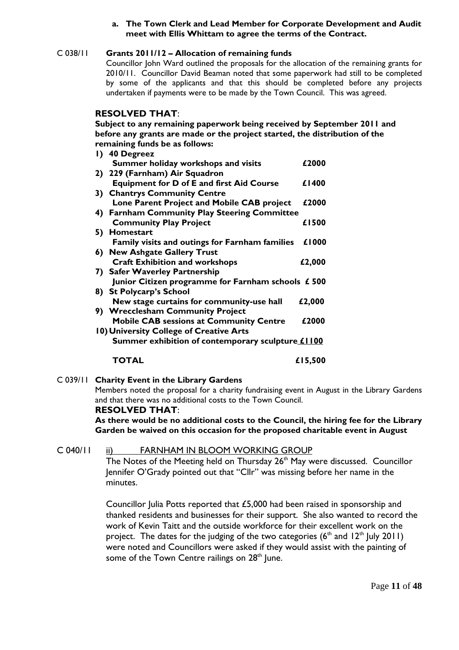#### **a. The Town Clerk and Lead Member for Corporate Development and Audit meet with Ellis Whittam to agree the terms of the Contract.**

#### C 038/11 **Grants 2011/12 – Allocation of remaining funds** Councillor John Ward outlined the proposals for the allocation of the remaining grants for 2010/11. Councillor David Beaman noted that some paperwork had still to be completed by some of the applicants and that this should be completed before any projects undertaken if payments were to be made by the Town Council. This was agreed.

## **RESOLVED THAT**:

 **Subject to any remaining paperwork being received by September 2011 and before any grants are made or the project started, the distribution of the remaining funds be as follows:**

| 1) 40 Degreez                                         |         |
|-------------------------------------------------------|---------|
| Summer holiday workshops and visits                   | £2000   |
| 2) 229 (Farnham) Air Squadron                         |         |
| <b>Equipment for D of E and first Aid Course</b>      | £1400   |
| 3) Chantrys Community Centre                          |         |
| Lone Parent Project and Mobile CAB project            | £2000   |
| 4) Farnham Community Play Steering Committee          |         |
| <b>Community Play Project</b>                         | £1500   |
| 5) Homestart                                          |         |
| <b>Family visits and outings for Farnham families</b> | £1000   |
| 6) New Ashgate Gallery Trust                          |         |
| <b>Craft Exhibition and workshops</b>                 | £2,000  |
| 7) Safer Waverley Partnership                         |         |
| Junior Citizen programme for Farnham schools £ 500    |         |
| 8) St Polycarp's School                               |         |
| New stage curtains for community-use hall             | £2,000  |
| 9) Wrecclesham Community Project                      |         |
| <b>Mobile CAB sessions at Community Centre</b>        | £2000   |
| 10) University College of Creative Arts               |         |
| Summer exhibition of contemporary sculpture £1100     |         |
| TOTAL                                                 | £15,500 |
|                                                       |         |

# C 039/11 **Charity Event in the Library Gardens**

 Members noted the proposal for a charity fundraising event in August in the Library Gardens and that there was no additional costs to the Town Council.

#### **RESOLVED THAT**:

 **As there would be no additional costs to the Council, the hiring fee for the Library Garden be waived on this occasion for the proposed charitable event in August**

# C 040/11 ii) FARNHAM IN BLOOM WORKING GROUP

The Notes of the Meeting held on Thursday  $26<sup>th</sup>$  May were discussed. Councillor Jennifer O'Grady pointed out that "Cllr" was missing before her name in the minutes.

Councillor Julia Potts reported that £5,000 had been raised in sponsorship and thanked residents and businesses for their support. She also wanted to record the work of Kevin Taitt and the outside workforce for their excellent work on the project. The dates for the judging of the two categories ( $6<sup>th</sup>$  and  $12<sup>th</sup>$  July 2011) were noted and Councillors were asked if they would assist with the painting of some of the Town Centre railings on 28<sup>th</sup> June.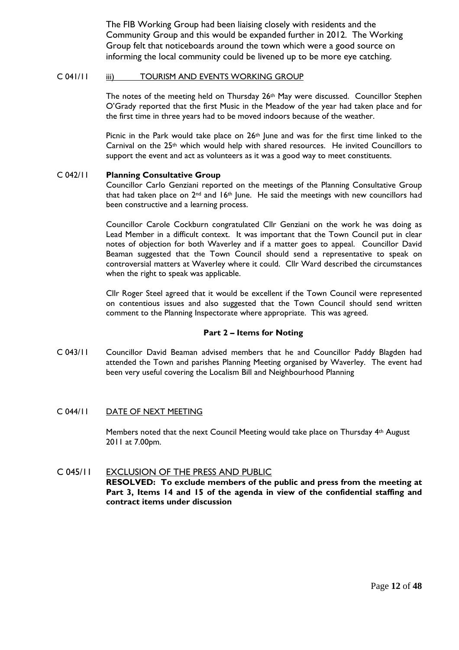The FIB Working Group had been liaising closely with residents and the Community Group and this would be expanded further in 2012. The Working Group felt that noticeboards around the town which were a good source on informing the local community could be livened up to be more eye catching.

#### C 041/11 iii) TOURISM AND EVENTS WORKING GROUP

The notes of the meeting held on Thursday 26<sup>th</sup> May were discussed. Councillor Stephen O'Grady reported that the first Music in the Meadow of the year had taken place and for the first time in three years had to be moved indoors because of the weather.

Picnic in the Park would take place on  $26<sup>th</sup>$  June and was for the first time linked to the Carnival on the  $25<sup>th</sup>$  which would help with shared resources. He invited Councillors to support the event and act as volunteers as it was a good way to meet constituents.

# C 042/11 **Planning Consultative Group**

 Councillor Carlo Genziani reported on the meetings of the Planning Consultative Group that had taken place on  $2^{nd}$  and  $16^{th}$  June. He said the meetings with new councillors had been constructive and a learning process.

 Councillor Carole Cockburn congratulated Cllr Genziani on the work he was doing as Lead Member in a difficult context. It was important that the Town Council put in clear notes of objection for both Waverley and if a matter goes to appeal. Councillor David Beaman suggested that the Town Council should send a representative to speak on controversial matters at Waverley where it could. Cllr Ward described the circumstances when the right to speak was applicable.

 Cllr Roger Steel agreed that it would be excellent if the Town Council were represented on contentious issues and also suggested that the Town Council should send written comment to the Planning Inspectorate where appropriate. This was agreed.

# **Part 2 – Items for Noting**

C 043/11 Councillor David Beaman advised members that he and Councillor Paddy Blagden had attended the Town and parishes Planning Meeting organised by Waverley. The event had been very useful covering the Localism Bill and Neighbourhood Planning

# C 044/11 DATE OF NEXT MEETING

Members noted that the next Council Meeting would take place on Thursday 4th August 2011 at 7.00pm.

## C 045/11 EXCLUSION OF THE PRESS AND PUBLIC  **RESOLVED: To exclude members of the public and press from the meeting at Part 3, Items 14 and 15 of the agenda in view of the confidential staffing and contract items under discussion**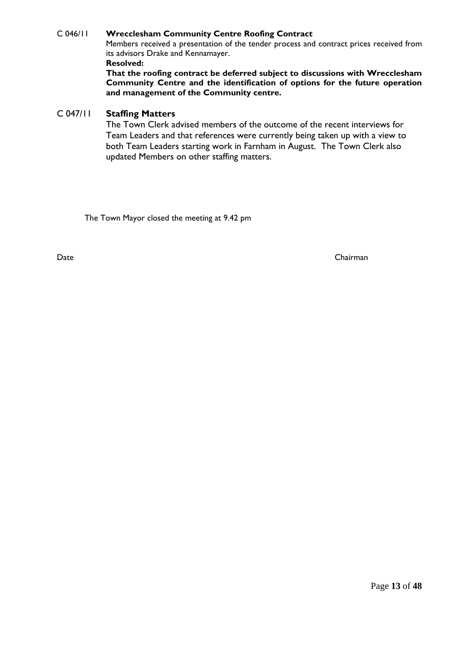# C 046/11 **Wrecclesham Community Centre Roofing Contract**

 Members received a presentation of the tender process and contract prices received from its advisors Drake and Kennamayer.

#### **Resolved:**

**That the roofing contract be deferred subject to discussions with Wrecclesham Community Centre and the identification of options for the future operation and management of the Community centre.** 

# C 047/11 **Staffing Matters**

 The Town Clerk advised members of the outcome of the recent interviews for Team Leaders and that references were currently being taken up with a view to both Team Leaders starting work in Farnham in August. The Town Clerk also updated Members on other staffing matters.

The Town Mayor closed the meeting at 9.42 pm

Date Chairman Chairman Chairman Chairman Chairman Chairman Chairman Chairman Chairman Chairman Chairman Chairman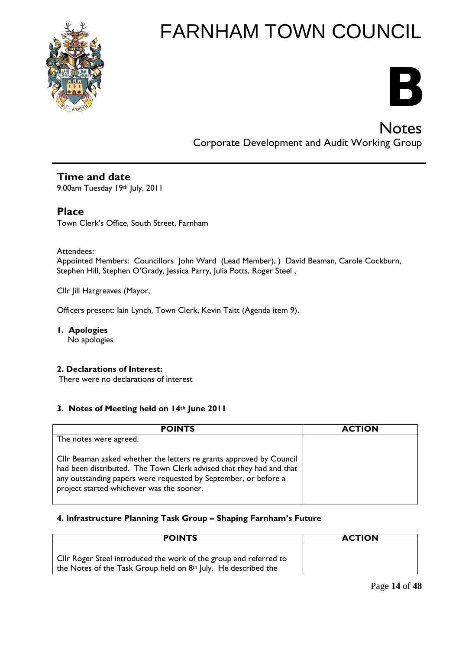



**Notes** Corporate Development and Audit Working Group

# **Time and date**

9.00am Tuesday 19th July, 2011

# **Place**

Town Clerk's Office, South Street, Farnham

#### Attendees:

Appointed Members: Councillors John Ward (Lead Member), ) David Beaman, Carole Cockburn, Stephen Hill, Stephen O'Grady, Jessica Parry, Julia Potts, Roger Steel ,

Cllr Jill Hargreaves (Mayor,

Officers present: Iain Lynch, Town Clerk, Kevin Taitt (Agenda item 9).

# **1. Apologies**

No apologies

#### **2. Declarations of Interest:**

There were no declarations of interest

#### **3. Notes of Meeting held on 14th June 2011**

| <b>POINTS</b>                                                                                                                                                                                                                                              | <b>ACTION</b> |
|------------------------------------------------------------------------------------------------------------------------------------------------------------------------------------------------------------------------------------------------------------|---------------|
| The notes were agreed.                                                                                                                                                                                                                                     |               |
| Cllr Beaman asked whether the letters re grants approved by Council<br>had been distributed. The Town Clerk advised that they had and that<br>any outstanding papers were requested by September, or before a<br>project started whichever was the sooner. |               |

#### **4. Infrastructure Planning Task Group – Shaping Farnham's Future**

| <b>POINTS</b>                                                                                                                       | <b>ACTION</b> |
|-------------------------------------------------------------------------------------------------------------------------------------|---------------|
| Cllr Roger Steel introduced the work of the group and referred to<br>the Notes of the Task Group held on 8th July. He described the |               |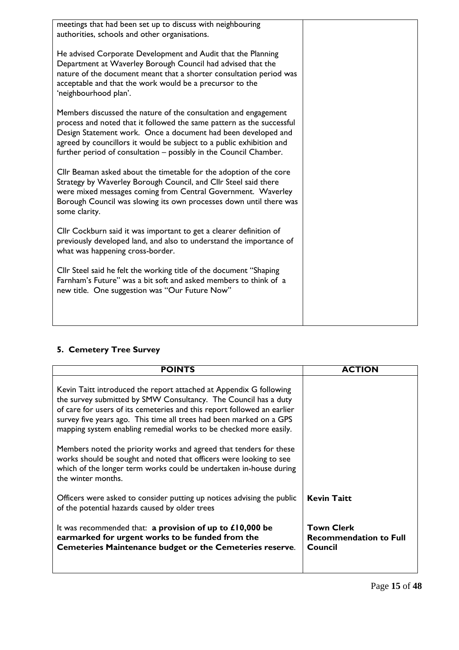| meetings that had been set up to discuss with neighbouring<br>authorities, schools and other organisations.                                                                                                                                                                                                                                            |  |
|--------------------------------------------------------------------------------------------------------------------------------------------------------------------------------------------------------------------------------------------------------------------------------------------------------------------------------------------------------|--|
| He advised Corporate Development and Audit that the Planning<br>Department at Waverley Borough Council had advised that the<br>nature of the document meant that a shorter consultation period was<br>acceptable and that the work would be a precursor to the<br>'neighbourhood plan'.                                                                |  |
| Members discussed the nature of the consultation and engagement<br>process and noted that it followed the same pattern as the successful<br>Design Statement work. Once a document had been developed and<br>agreed by councillors it would be subject to a public exhibition and<br>further period of consultation - possibly in the Council Chamber. |  |
| Cllr Beaman asked about the timetable for the adoption of the core<br>Strategy by Waverley Borough Council, and Cllr Steel said there<br>were mixed messages coming from Central Government. Waverley<br>Borough Council was slowing its own processes down until there was<br>some clarity.                                                           |  |
| Cllr Cockburn said it was important to get a clearer definition of<br>previously developed land, and also to understand the importance of<br>what was happening cross-border.                                                                                                                                                                          |  |
| Cllr Steel said he felt the working title of the document "Shaping<br>Farnham's Future" was a bit soft and asked members to think of a<br>new title. One suggestion was "Our Future Now"                                                                                                                                                               |  |
|                                                                                                                                                                                                                                                                                                                                                        |  |

# **5. Cemetery Tree Survey**

| <b>POINTS</b>                                                                                                                                                                                                                                                                                                                                                | <b>ACTION</b>                                                 |
|--------------------------------------------------------------------------------------------------------------------------------------------------------------------------------------------------------------------------------------------------------------------------------------------------------------------------------------------------------------|---------------------------------------------------------------|
| Kevin Taitt introduced the report attached at Appendix G following<br>the survey submitted by SMW Consultancy. The Council has a duty<br>of care for users of its cemeteries and this report followed an earlier<br>survey five years ago. This time all trees had been marked on a GPS<br>mapping system enabling remedial works to be checked more easily. |                                                               |
| Members noted the priority works and agreed that tenders for these<br>works should be sought and noted that officers were looking to see<br>which of the longer term works could be undertaken in-house during<br>the winter months.                                                                                                                         |                                                               |
| Officers were asked to consider putting up notices advising the public<br>of the potential hazards caused by older trees                                                                                                                                                                                                                                     | <b>Kevin Taitt</b>                                            |
| It was recommended that: a provision of up to £10,000 be<br>earmarked for urgent works to be funded from the<br><b>Cemeteries Maintenance budget or the Cemeteries reserve.</b>                                                                                                                                                                              | <b>Town Clerk</b><br><b>Recommendation to Full</b><br>Council |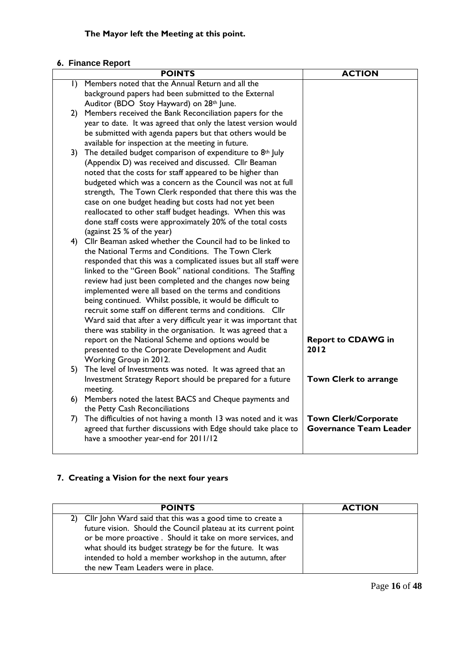# **6. Finance Report**

|           | <b>POINTS</b>                                                                                                      | <b>ACTION</b>                 |
|-----------|--------------------------------------------------------------------------------------------------------------------|-------------------------------|
| $\vert$ ) | Members noted that the Annual Return and all the                                                                   |                               |
|           | background papers had been submitted to the External                                                               |                               |
|           | Auditor (BDO Stoy Hayward) on 28th June.                                                                           |                               |
|           | 2) Members received the Bank Reconciliation papers for the                                                         |                               |
|           | year to date. It was agreed that only the latest version would                                                     |                               |
|           | be submitted with agenda papers but that others would be                                                           |                               |
|           | available for inspection at the meeting in future.                                                                 |                               |
| 3)        | The detailed budget comparison of expenditure to 8th July                                                          |                               |
|           | (Appendix D) was received and discussed. Cllr Beaman                                                               |                               |
|           | noted that the costs for staff appeared to be higher than                                                          |                               |
|           | budgeted which was a concern as the Council was not at full                                                        |                               |
|           | strength, The Town Clerk responded that there this was the                                                         |                               |
|           | case on one budget heading but costs had not yet been                                                              |                               |
|           | reallocated to other staff budget headings. When this was                                                          |                               |
|           | done staff costs were approximately 20% of the total costs                                                         |                               |
|           | (against 25 % of the year)                                                                                         |                               |
|           | 4) Cllr Beaman asked whether the Council had to be linked to                                                       |                               |
|           | the National Terms and Conditions. The Town Clerk                                                                  |                               |
|           | responded that this was a complicated issues but all staff were                                                    |                               |
|           | linked to the "Green Book" national conditions. The Staffing                                                       |                               |
|           | review had just been completed and the changes now being<br>implemented were all based on the terms and conditions |                               |
|           | being continued. Whilst possible, it would be difficult to                                                         |                               |
|           | recruit some staff on different terms and conditions. Cllr                                                         |                               |
|           | Ward said that after a very difficult year it was important that                                                   |                               |
|           | there was stability in the organisation. It was agreed that a                                                      |                               |
|           | report on the National Scheme and options would be                                                                 | <b>Report to CDAWG in</b>     |
|           | presented to the Corporate Development and Audit                                                                   | 2012                          |
|           | Working Group in 2012.                                                                                             |                               |
| 5).       | The level of Investments was noted. It was agreed that an                                                          |                               |
|           | Investment Strategy Report should be prepared for a future                                                         | Town Clerk to arrange         |
|           | meeting.                                                                                                           |                               |
|           | 6) Members noted the latest BACS and Cheque payments and                                                           |                               |
|           | the Petty Cash Reconciliations                                                                                     |                               |
| 7)        | The difficulties of not having a month 13 was noted and it was                                                     | <b>Town Clerk/Corporate</b>   |
|           | agreed that further discussions with Edge should take place to                                                     | <b>Governance Team Leader</b> |
|           | have a smoother year-end for 2011/12                                                                               |                               |
|           |                                                                                                                    |                               |

# **7. Creating a Vision for the next four years**

| <b>POINTS</b>                                                  | <b>ACTION</b> |
|----------------------------------------------------------------|---------------|
| 2) Cllr John Ward said that this was a good time to create a   |               |
| future vision. Should the Council plateau at its current point |               |
| or be more proactive . Should it take on more services, and    |               |
| what should its budget strategy be for the future. It was      |               |
| intended to hold a member workshop in the autumn, after        |               |
| the new Team Leaders were in place.                            |               |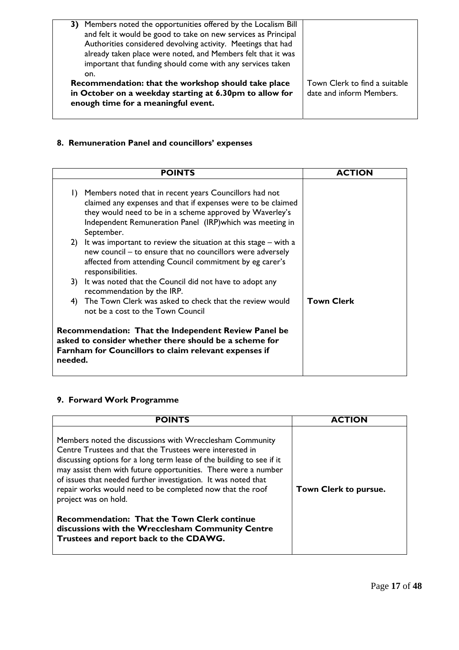| 3) Members noted the opportunities offered by the Localism Bill |                               |
|-----------------------------------------------------------------|-------------------------------|
| and felt it would be good to take on new services as Principal  |                               |
| Authorities considered devolving activity. Meetings that had    |                               |
| already taken place were noted, and Members felt that it was    |                               |
| important that funding should come with any services taken      |                               |
| on.                                                             |                               |
|                                                                 |                               |
| Recommendation: that the workshop should take place             | Town Clerk to find a suitable |
| in October on a weekday starting at 6.30pm to allow for         | date and inform Members.      |
|                                                                 |                               |
| enough time for a meaningful event.                             |                               |
|                                                                 |                               |

# **8. Remuneration Panel and councillors' expenses**

|         | <b>POINTS</b>                                                                                                                                                                                                                                                 | <b>ACTION</b>     |
|---------|---------------------------------------------------------------------------------------------------------------------------------------------------------------------------------------------------------------------------------------------------------------|-------------------|
| $\Box$  | Members noted that in recent years Councillors had not<br>claimed any expenses and that if expenses were to be claimed<br>they would need to be in a scheme approved by Waverley's<br>Independent Remuneration Panel (IRP) which was meeting in<br>September. |                   |
|         | 2) It was important to review the situation at this stage $-$ with a<br>new council – to ensure that no councillors were adversely<br>affected from attending Council commitment by eg carer's<br>responsibilities.                                           |                   |
| 3)      | It was noted that the Council did not have to adopt any<br>recommendation by the IRP.                                                                                                                                                                         |                   |
| 4)      | The Town Clerk was asked to check that the review would<br>not be a cost to the Town Council                                                                                                                                                                  | <b>Town Clerk</b> |
| needed. | <b>Recommendation: That the Independent Review Panel be</b><br>asked to consider whether there should be a scheme for<br>Farnham for Councillors to claim relevant expenses if                                                                                |                   |

# **9. Forward Work Programme**

| POINTS                                                                                                                                                                                                                                                                                                                                                                                                                                                                                                                                                                       |                       |
|------------------------------------------------------------------------------------------------------------------------------------------------------------------------------------------------------------------------------------------------------------------------------------------------------------------------------------------------------------------------------------------------------------------------------------------------------------------------------------------------------------------------------------------------------------------------------|-----------------------|
| Members noted the discussions with Wrecclesham Community<br>Centre Trustees and that the Trustees were interested in<br>discussing options for a long term lease of the building to see if it<br>may assist them with future opportunities. There were a number<br>of issues that needed further investigation. It was noted that<br>repair works would need to be completed now that the roof<br>project was on hold.<br><b>Recommendation: That the Town Clerk continue</b><br>discussions with the Wrecclesham Community Centre<br>Trustees and report back to the CDAWG. | Town Clerk to pursue. |
|                                                                                                                                                                                                                                                                                                                                                                                                                                                                                                                                                                              |                       |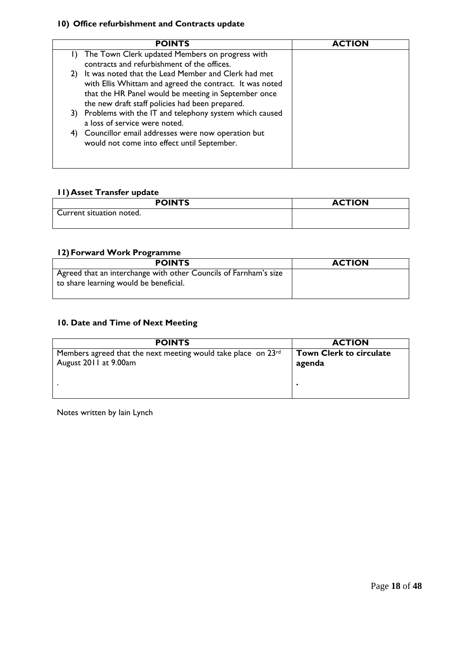# **10) Office refurbishment and Contracts update**

| <b>POINTS</b>                                                                                                                                                                                                                    | <b>ACTION</b> |
|----------------------------------------------------------------------------------------------------------------------------------------------------------------------------------------------------------------------------------|---------------|
| The Town Clerk updated Members on progress with<br>contracts and refurbishment of the offices.                                                                                                                                   |               |
| It was noted that the Lead Member and Clerk had met<br>2)<br>with Ellis Whittam and agreed the contract. It was noted<br>that the HR Panel would be meeting in September once<br>the new draft staff policies had been prepared. |               |
| 3) Problems with the IT and telephony system which caused<br>a loss of service were noted.                                                                                                                                       |               |
| Councillor email addresses were now operation but<br>4)<br>would not come into effect until September.                                                                                                                           |               |

# **11)Asset Transfer update**

| <b>POINTS</b>            | <b>ACTION</b> |
|--------------------------|---------------|
| Current situation noted. |               |

# **12)Forward Work Programme**

| <b>POINTS</b>                                                    | <b>ACTION</b> |
|------------------------------------------------------------------|---------------|
| Agreed that an interchange with other Councils of Farnham's size |               |
| to share learning would be beneficial.                           |               |

# **10. Date and Time of Next Meeting**

| <b>POINTS</b>                                                                          | <b>ACTION</b>                            |
|----------------------------------------------------------------------------------------|------------------------------------------|
| Members agreed that the next meeting would take place on 23rd<br>August 2011 at 9.00am | <b>Town Clerk to circulate</b><br>agenda |
|                                                                                        |                                          |

Notes written by Iain Lynch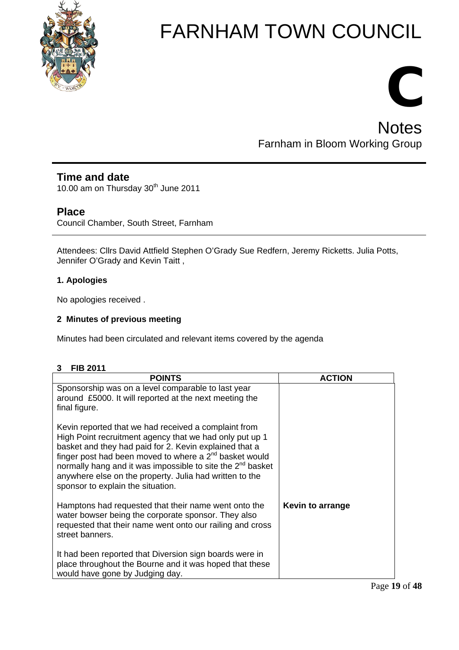

# **C Notes** Farnham in Bloom Working Group

# **Time and date**

10.00 am on Thursday 30<sup>th</sup> June 2011

# **Place**

Council Chamber, South Street, Farnham

Attendees: Cllrs David Attfield Stephen O'Grady Sue Redfern, Jeremy Ricketts. Julia Potts, Jennifer O'Grady and Kevin Taitt,

# **1. Apologies**

No apologies received .

# **2 Minutes of previous meeting**

Minutes had been circulated and relevant items covered by the agenda

# **3 FIB 2011**

| <b>POINTS</b>                                                                                                                                                                                                                                                                                                                                                                                                      | <b>ACTION</b>    |
|--------------------------------------------------------------------------------------------------------------------------------------------------------------------------------------------------------------------------------------------------------------------------------------------------------------------------------------------------------------------------------------------------------------------|------------------|
| Sponsorship was on a level comparable to last year<br>around £5000. It will reported at the next meeting the<br>final figure.                                                                                                                                                                                                                                                                                      |                  |
| Kevin reported that we had received a complaint from<br>High Point recruitment agency that we had only put up 1<br>basket and they had paid for 2. Kevin explained that a<br>finger post had been moved to where a $2^{nd}$ basket would<br>normally hang and it was impossible to site the 2 <sup>nd</sup> basket<br>anywhere else on the property. Julia had written to the<br>sponsor to explain the situation. |                  |
| Hamptons had requested that their name went onto the<br>water bowser being the corporate sponsor. They also<br>requested that their name went onto our railing and cross<br>street banners.                                                                                                                                                                                                                        | Kevin to arrange |
| It had been reported that Diversion sign boards were in<br>place throughout the Bourne and it was hoped that these<br>would have gone by Judging day.                                                                                                                                                                                                                                                              |                  |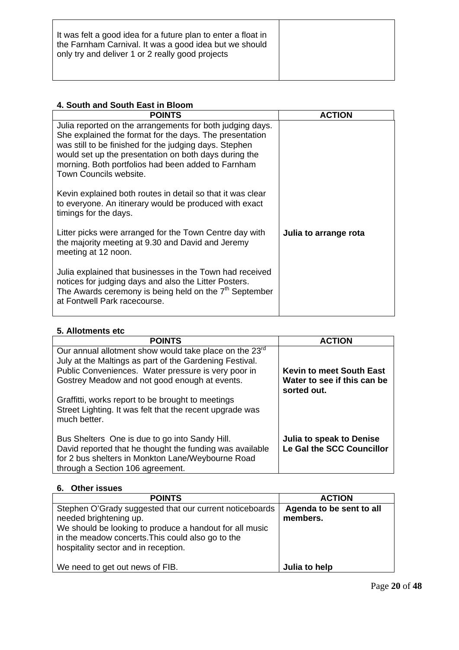| It was felt a good idea for a future plan to enter a float in<br>the Farnham Carnival. It was a good idea but we should<br>only try and deliver 1 or 2 really good projects |
|-----------------------------------------------------------------------------------------------------------------------------------------------------------------------------|
|                                                                                                                                                                             |

# **4. South and South East in Bloom**

| <b>POINTS</b>                                                                                                                                                                                                                                                                                                           | <b>ACTION</b>         |
|-------------------------------------------------------------------------------------------------------------------------------------------------------------------------------------------------------------------------------------------------------------------------------------------------------------------------|-----------------------|
| Julia reported on the arrangements for both judging days.<br>She explained the format for the days. The presentation<br>was still to be finished for the judging days. Stephen<br>would set up the presentation on both days during the<br>morning. Both portfolios had been added to Farnham<br>Town Councils website. |                       |
| Kevin explained both routes in detail so that it was clear<br>to everyone. An itinerary would be produced with exact<br>timings for the days.                                                                                                                                                                           |                       |
| Litter picks were arranged for the Town Centre day with<br>the majority meeting at 9.30 and David and Jeremy<br>meeting at 12 noon.                                                                                                                                                                                     | Julia to arrange rota |
| Julia explained that businesses in the Town had received<br>notices for judging days and also the Litter Posters.<br>The Awards ceremony is being held on the $7th$ September<br>at Fontwell Park racecourse.                                                                                                           |                       |

# **5. Allotments etc**

| <b>POINTS</b>                                                                                                                                                                                                                         | <b>ACTION</b>                                                                 |
|---------------------------------------------------------------------------------------------------------------------------------------------------------------------------------------------------------------------------------------|-------------------------------------------------------------------------------|
|                                                                                                                                                                                                                                       |                                                                               |
| Our annual allotment show would take place on the 23 <sup>rd</sup><br>July at the Maltings as part of the Gardening Festival.<br>Public Conveniences. Water pressure is very poor in<br>Gostrey Meadow and not good enough at events. | <b>Kevin to meet South East</b><br>Water to see if this can be<br>sorted out. |
| Graffitti, works report to be brought to meetings<br>Street Lighting. It was felt that the recent upgrade was<br>much better.                                                                                                         |                                                                               |
| Bus Shelters One is due to go into Sandy Hill.<br>David reported that he thought the funding was available<br>for 2 bus shelters in Monkton Lane/Weybourne Road<br>through a Section 106 agreement.                                   | Julia to speak to Denise<br>Le Gal the SCC Councillor                         |

# **6. Other issues**

| <b>POINTS</b>                                                                                                                                                                                                                             | <b>ACTION</b>                        |
|-------------------------------------------------------------------------------------------------------------------------------------------------------------------------------------------------------------------------------------------|--------------------------------------|
| Stephen O'Grady suggested that our current noticeboards<br>needed brightening up.<br>We should be looking to produce a handout for all music<br>in the meadow concerts. This could also go to the<br>hospitality sector and in reception. | Agenda to be sent to all<br>members. |
| We need to get out news of FIB.                                                                                                                                                                                                           | Julia to help                        |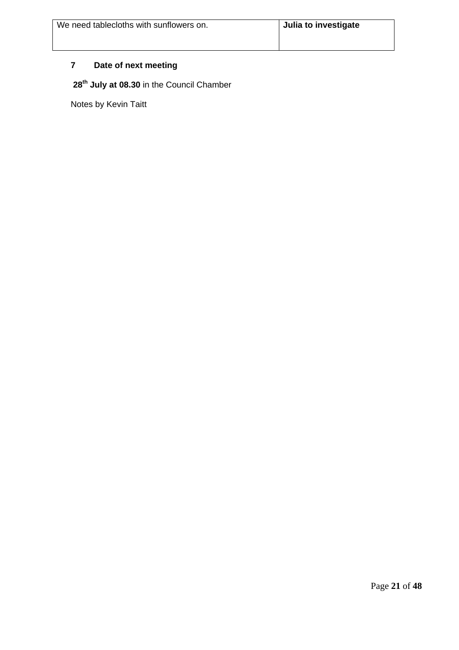# **7 Date of next meeting**

**28th July at 08.30** in the Council Chamber

Notes by Kevin Taitt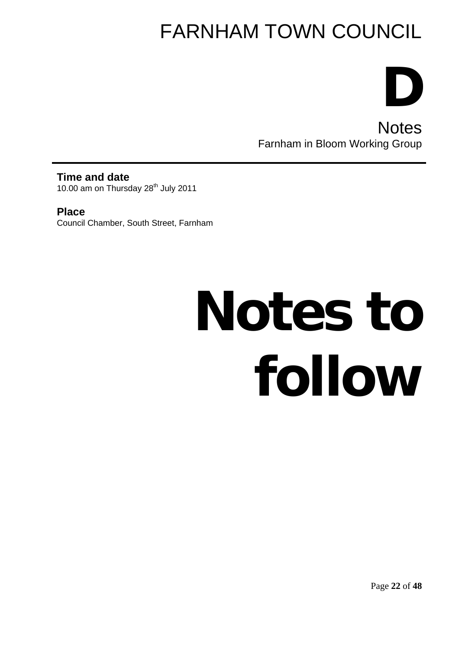**D Notes** Farnham in Bloom Working Group

**Time and date**  10.00 am on Thursday 28<sup>th</sup> July 2011

**Place**  Council Chamber, South Street, Farnham

# **Notes to follow**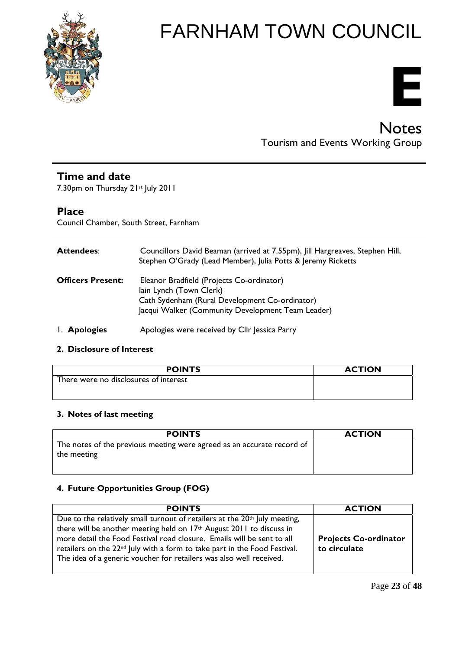

# **E**

# **Notes** Tourism and Events Working Group

# **Time and date**

7.30pm on Thursday 21st July 2011

# **Place**

Council Chamber, South Street, Farnham

| <b>Attendees:</b>        | Councillors David Beaman (arrived at 7.55pm), Jill Hargreaves, Stephen Hill,<br>Stephen O'Grady (Lead Member), Julia Potts & Jeremy Ricketts                                |
|--------------------------|-----------------------------------------------------------------------------------------------------------------------------------------------------------------------------|
| <b>Officers Present:</b> | Eleanor Bradfield (Projects Co-ordinator)<br>lain Lynch (Town Clerk)<br>Cath Sydenham (Rural Development Co-ordinator)<br>Jacqui Walker (Community Development Team Leader) |
| I. Apologies             | Apologies were received by Cllr Jessica Parry                                                                                                                               |

# **2. Disclosure of Interest**

| <b>POINTS</b>                         | <b>ACTION</b> |
|---------------------------------------|---------------|
| There were no disclosures of interest |               |
|                                       |               |

# **3. Notes of last meeting**

| <b>POINTS</b>                                                                         | <b>ACTION</b> |
|---------------------------------------------------------------------------------------|---------------|
| The notes of the previous meeting were agreed as an accurate record of<br>the meeting |               |
|                                                                                       |               |

# **4. Future Opportunities Group (FOG)**

| <b>POINTS</b>                                                                                                                                                                                                                                                                                                                                                                                            | <b>ACTION</b>                                |
|----------------------------------------------------------------------------------------------------------------------------------------------------------------------------------------------------------------------------------------------------------------------------------------------------------------------------------------------------------------------------------------------------------|----------------------------------------------|
| Due to the relatively small turnout of retailers at the 20 <sup>th</sup> July meeting,<br>there will be another meeting held on 17th August 2011 to discuss in<br>more detail the Food Festival road closure. Emails will be sent to all<br>retailers on the 22 <sup>nd</sup> July with a form to take part in the Food Festival.<br>The idea of a generic voucher for retailers was also well received. | <b>Projects Co-ordinator</b><br>to circulate |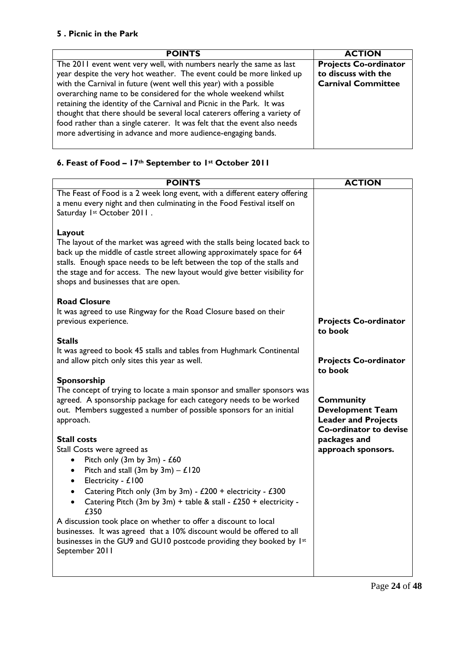# **5 . Picnic in the Park**

| <b>POINTS</b>                                                                                                                                                                                                                                                                                                                                                                                                                                                                                                                                                                         | <b>ACTION</b>                                                                    |
|---------------------------------------------------------------------------------------------------------------------------------------------------------------------------------------------------------------------------------------------------------------------------------------------------------------------------------------------------------------------------------------------------------------------------------------------------------------------------------------------------------------------------------------------------------------------------------------|----------------------------------------------------------------------------------|
| The 2011 event went very well, with numbers nearly the same as last<br>year despite the very hot weather. The event could be more linked up<br>with the Carnival in future (went well this year) with a possible<br>overarching name to be considered for the whole weekend whilst<br>retaining the identity of the Carnival and Picnic in the Park. It was<br>thought that there should be several local caterers offering a variety of<br>food rather than a single caterer. It was felt that the event also needs<br>more advertising in advance and more audience-engaging bands. | <b>Projects Co-ordinator</b><br>to discuss with the<br><b>Carnival Committee</b> |

# **6. Feast of Food – 17th September to 1st October 2011**

| <b>POINTS</b>                                                                                                                                                                                                                                                                                                                                                                            | <b>ACTION</b>                                                                                       |
|------------------------------------------------------------------------------------------------------------------------------------------------------------------------------------------------------------------------------------------------------------------------------------------------------------------------------------------------------------------------------------------|-----------------------------------------------------------------------------------------------------|
| The Feast of Food is a 2 week long event, with a different eatery offering<br>a menu every night and then culminating in the Food Festival itself on<br>Saturday 1st October 2011.                                                                                                                                                                                                       |                                                                                                     |
| Layout<br>The layout of the market was agreed with the stalls being located back to<br>back up the middle of castle street allowing approximately space for 64<br>stalls. Enough space needs to be left between the top of the stalls and<br>the stage and for access. The new layout would give better visibility for<br>shops and businesses that are open.                            |                                                                                                     |
| <b>Road Closure</b><br>It was agreed to use Ringway for the Road Closure based on their<br>previous experience.                                                                                                                                                                                                                                                                          | <b>Projects Co-ordinator</b><br>to book                                                             |
| <b>Stalls</b><br>It was agreed to book 45 stalls and tables from Hughmark Continental<br>and allow pitch only sites this year as well.                                                                                                                                                                                                                                                   | <b>Projects Co-ordinator</b><br>to book                                                             |
| <b>Sponsorship</b><br>The concept of trying to locate a main sponsor and smaller sponsors was<br>agreed. A sponsorship package for each category needs to be worked<br>out. Members suggested a number of possible sponsors for an initial<br>approach.                                                                                                                                  | <b>Community</b><br><b>Development Team</b><br><b>Leader and Projects</b><br>Co-ordinator to devise |
| <b>Stall costs</b><br>Stall Costs were agreed as<br>Pitch only (3m by 3m) - £60<br>٠<br>Pitch and stall (3m by 3m) $-$ £120<br>$\bullet$<br>Electricity - £100<br>$\bullet$<br>Catering Pitch only (3m by 3m) - £200 + electricity - £300<br>Catering Pitch (3m by 3m) + table & stall - £250 + electricity -<br>£350<br>A discussion took place on whether to offer a discount to local | packages and<br>approach sponsors.                                                                  |
| businesses. It was agreed that a 10% discount would be offered to all<br>businesses in the GU9 and GU10 postcode providing they booked by 1st<br>September 2011                                                                                                                                                                                                                          |                                                                                                     |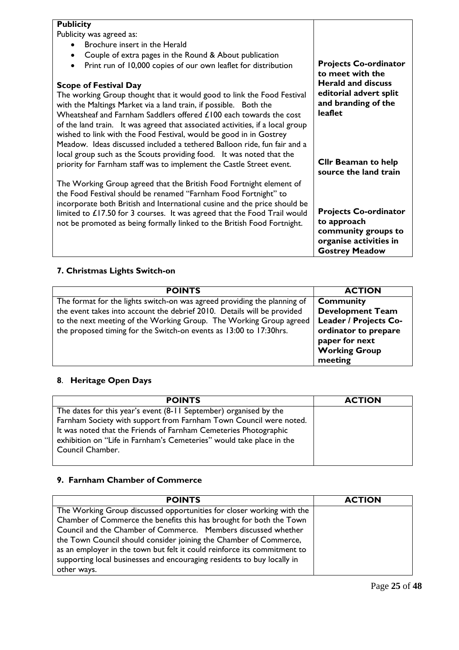# **Publicity**

Publicity was agreed as:

- Brochure insert in the Herald
- Couple of extra pages in the Round & About publication
- Print run of 10,000 copies of our own leaflet for distribution

# **Scope of Festival Day**

The working Group thought that it would good to link the Food Festival with the Maltings Market via a land train, if possible. Both the Wheatsheaf and Farnham Saddlers offered £100 each towards the cost of the land train. It was agreed that associated activities, if a local group wished to link with the Food Festival, would be good in in Gostrey Meadow. Ideas discussed included a tethered Balloon ride, fun fair and a local group such as the Scouts providing food. It was noted that the priority for Farnham staff was to implement the Castle Street event.

The Working Group agreed that the British Food Fortnight element of the Food Festival should be renamed "Farnham Food Fortnight" to incorporate both British and International cusine and the price should be limited to £17.50 for 3 courses. It was agreed that the Food Trail would not be promoted as being formally linked to the British Food Fortnight.

**Projects Co-ordinator to meet with the Herald and discuss editorial advert split and branding of the leaflet** 

**Cllr Beaman to help source the land train** 

**Projects Co-ordinator to approach community groups to organise activities in Gostrey Meadow** 

# **7. Christmas Lights Switch-on**

| <b>POINTS</b>                                                            | <b>ACTION</b>           |
|--------------------------------------------------------------------------|-------------------------|
| The format for the lights switch-on was agreed providing the planning of | <b>Community</b>        |
| the event takes into account the debrief 2010. Details will be provided  | <b>Development Team</b> |
| to the next meeting of the Working Group. The Working Group agreed       | Leader / Projects Co-   |
| the proposed timing for the Switch-on events as 13:00 to 17:30hrs.       | ordinator to prepare    |
|                                                                          | paper for next          |
|                                                                          | <b>Working Group</b>    |
|                                                                          | meeting                 |

# **8**. **Heritage Open Days**

| <b>POINTS</b>                                                                                                                                                | <b>ACTION</b> |
|--------------------------------------------------------------------------------------------------------------------------------------------------------------|---------------|
| The dates for this year's event (8-11 September) organised by the                                                                                            |               |
| Farnham Society with support from Farnham Town Council were noted.                                                                                           |               |
| It was noted that the Friends of Farnham Cemeteries Photographic<br>exhibition on "Life in Farnham's Cemeteries" would take place in the<br>Council Chamber. |               |
|                                                                                                                                                              |               |

# **9. Farnham Chamber of Commerce**

| <b>POINTS</b>                                                            | <b>ACTION</b> |
|--------------------------------------------------------------------------|---------------|
| The Working Group discussed opportunities for closer working with the    |               |
| Chamber of Commerce the benefits this has brought for both the Town      |               |
| Council and the Chamber of Commerce. Members discussed whether           |               |
| the Town Council should consider joining the Chamber of Commerce,        |               |
| as an employer in the town but felt it could reinforce its commitment to |               |
| supporting local businesses and encouraging residents to buy locally in  |               |
| other ways.                                                              |               |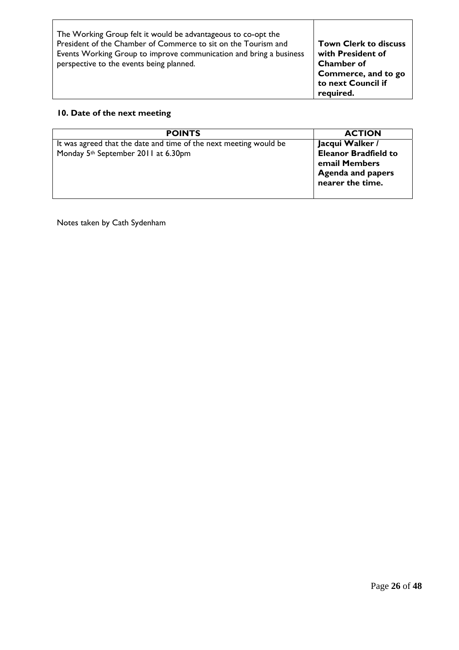| The Working Group felt it would be advantageous to co-opt the      |                              |
|--------------------------------------------------------------------|------------------------------|
| President of the Chamber of Commerce to sit on the Tourism and     | <b>Town Clerk to discuss</b> |
| Events Working Group to improve communication and bring a business | with President of            |
| perspective to the events being planned.                           | <b>Chamber of</b>            |
|                                                                    | $\vert$ Commerce, and to go  |
|                                                                    | to next Council if           |

**required.** 

T

# **10. Date of the next meeting**

| <b>POINTS</b>                                                     | <b>ACTION</b>               |
|-------------------------------------------------------------------|-----------------------------|
| It was agreed that the date and time of the next meeting would be | Jacqui Walker /             |
| Monday 5th September 2011 at 6.30pm                               | <b>Eleanor Bradfield to</b> |
|                                                                   | email Members               |
|                                                                   | <b>Agenda and papers</b>    |
|                                                                   | nearer the time.            |
|                                                                   |                             |

Notes taken by Cath Sydenham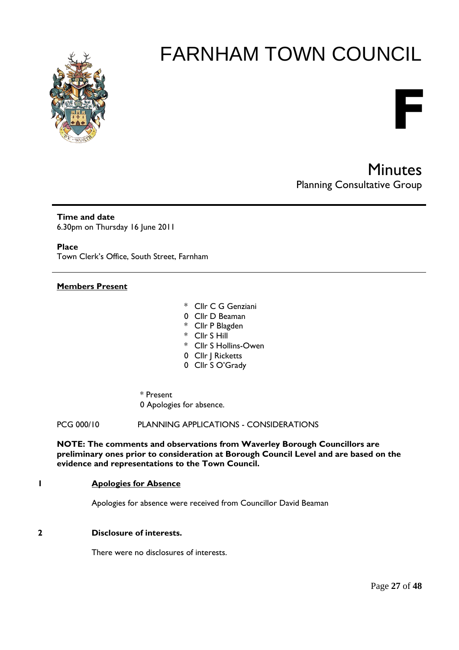

# Minutes Planning Consultative Group

**F** 

**Time and date**  6.30pm on Thursday 16 June 2011

**Place** 

Town Clerk's Office, South Street, Farnham

#### **Members Present**

- \* Cllr C G Genziani
- 0 Cllr D Beaman
- \* Cllr P Blagden
- \* Cllr S Hill
- \* Cllr S Hollins-Owen
- 0 Cllr | Ricketts
- 0 Cllr S O'Grady

# \* Present

0 Apologies for absence.

PCG 000/10 PLANNING APPLICATIONS - CONSIDERATIONS

**NOTE: The comments and observations from Waverley Borough Councillors are preliminary ones prior to consideration at Borough Council Level and are based on the evidence and representations to the Town Council.** 

#### **1 Apologies for Absence**

Apologies for absence were received from Councillor David Beaman

# **2 Disclosure of interests.**

There were no disclosures of interests.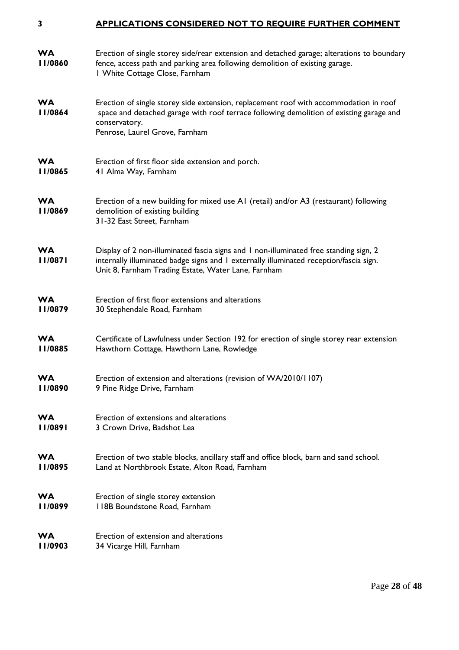#### **3 APPLICATIONS CONSIDERED NOT TO REQUIRE FURTHER COMMENT**

| <b>WA</b><br>11/0860 | Erection of single storey side/rear extension and detached garage; alterations to boundary<br>fence, access path and parking area following demolition of existing garage.<br>I White Cottage Close, Farnham                           |
|----------------------|----------------------------------------------------------------------------------------------------------------------------------------------------------------------------------------------------------------------------------------|
| <b>WA</b><br>II/0864 | Erection of single storey side extension, replacement roof with accommodation in roof<br>space and detached garage with roof terrace following demolition of existing garage and<br>conservatory.<br>Penrose, Laurel Grove, Farnham    |
| <b>WA</b>            | Erection of first floor side extension and porch.                                                                                                                                                                                      |
| 11/0865              | 41 Alma Way, Farnham                                                                                                                                                                                                                   |
| <b>WA</b><br>11/0869 | Erection of a new building for mixed use A1 (retail) and/or A3 (restaurant) following<br>demolition of existing building<br>31-32 East Street, Farnham                                                                                 |
| <b>WA</b><br>11/0871 | Display of 2 non-illuminated fascia signs and 1 non-illuminated free standing sign, 2<br>internally illuminated badge signs and I externally illuminated reception/fascia sign.<br>Unit 8, Farnham Trading Estate, Water Lane, Farnham |
| <b>WA</b>            | Erection of first floor extensions and alterations                                                                                                                                                                                     |
| 11/0879              | 30 Stephendale Road, Farnham                                                                                                                                                                                                           |
| <b>WA</b>            | Certificate of Lawfulness under Section 192 for erection of single storey rear extension                                                                                                                                               |
| 11/0885              | Hawthorn Cottage, Hawthorn Lane, Rowledge                                                                                                                                                                                              |
| <b>WA</b>            | Erection of extension and alterations (revision of WA/2010/1107)                                                                                                                                                                       |
| 11/0890              | 9 Pine Ridge Drive, Farnham                                                                                                                                                                                                            |
| <b>WA</b>            | Erection of extensions and alterations                                                                                                                                                                                                 |
| 11/0891              | 3 Crown Drive, Badshot Lea                                                                                                                                                                                                             |
| <b>WA</b>            | Erection of two stable blocks, ancillary staff and office block, barn and sand school.                                                                                                                                                 |
| 11/0895              | Land at Northbrook Estate, Alton Road, Farnham                                                                                                                                                                                         |
| <b>WA</b>            | Erection of single storey extension                                                                                                                                                                                                    |
| 11/0899              | 118B Boundstone Road, Farnham                                                                                                                                                                                                          |
| <b>WA</b>            | Erection of extension and alterations                                                                                                                                                                                                  |
| 11/0903              | 34 Vicarge Hill, Farnham                                                                                                                                                                                                               |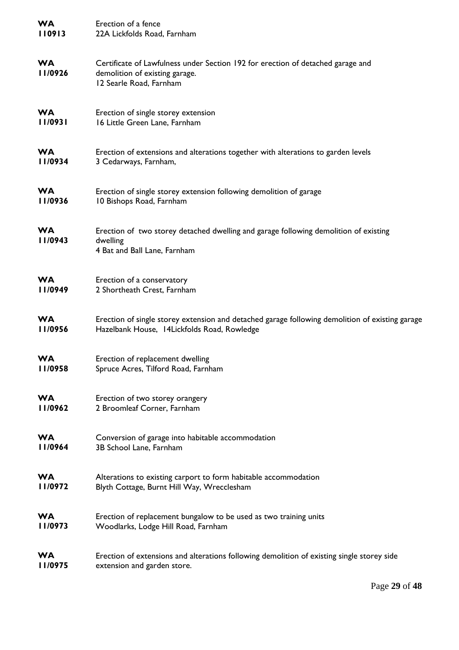| <b>WA</b>             | Erection of a fence                                                                                                                          |
|-----------------------|----------------------------------------------------------------------------------------------------------------------------------------------|
| 110913                | 22A Lickfolds Road, Farnham                                                                                                                  |
| <b>WA</b><br>11/0926  | Certificate of Lawfulness under Section 192 for erection of detached garage and<br>demolition of existing garage.<br>12 Searle Road, Farnham |
| <b>WA</b>             | Erection of single storey extension                                                                                                          |
| 11/0931               | 16 Little Green Lane, Farnham                                                                                                                |
| <b>WA</b>             | Erection of extensions and alterations together with alterations to garden levels                                                            |
| 11/0934               | 3 Cedarways, Farnham,                                                                                                                        |
| <b>WA</b>             | Erection of single storey extension following demolition of garage                                                                           |
| 11/0936               | 10 Bishops Road, Farnham                                                                                                                     |
| <b>WA</b><br>  1/0943 | Erection of two storey detached dwelling and garage following demolition of existing<br>dwelling<br>4 Bat and Ball Lane, Farnham             |
| <b>WA</b>             | Erection of a conservatory                                                                                                                   |
| 11/0949               | 2 Shortheath Crest, Farnham                                                                                                                  |
| <b>WA</b>             | Erection of single storey extension and detached garage following demolition of existing garage                                              |
| 11/0956               | Hazelbank House, 14Lickfolds Road, Rowledge                                                                                                  |
| <b>WA</b>             | Erection of replacement dwelling                                                                                                             |
| II/0958               | Spruce Acres, Tilford Road, Farnham                                                                                                          |
| <b>WA</b>             | Erection of two storey orangery                                                                                                              |
| 11/0962               | 2 Broomleaf Corner, Farnham                                                                                                                  |
| <b>WA</b>             | Conversion of garage into habitable accommodation                                                                                            |
| II/0964               | 3B School Lane, Farnham                                                                                                                      |
| <b>WA</b>             | Alterations to existing carport to form habitable accommodation                                                                              |
| 11/0972               | Blyth Cottage, Burnt Hill Way, Wrecclesham                                                                                                   |
| <b>WA</b>             | Erection of replacement bungalow to be used as two training units                                                                            |
| 11/0973               | Woodlarks, Lodge Hill Road, Farnham                                                                                                          |
| <b>WA</b>             | Erection of extensions and alterations following demolition of existing single storey side                                                   |
| 11/0975               | extension and garden store.                                                                                                                  |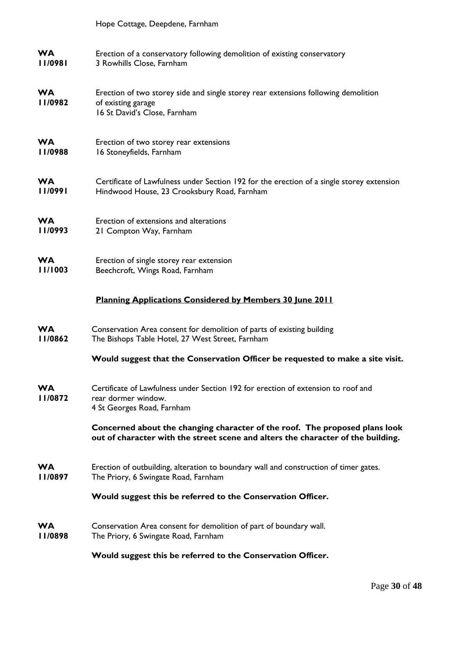|                      | Hope Cottage, Deepdene, Farnham                                                                                                                                 |
|----------------------|-----------------------------------------------------------------------------------------------------------------------------------------------------------------|
| <b>WA</b>            | Erection of a conservatory following demolition of existing conservatory                                                                                        |
| 11/0981              | 3 Rowhills Close, Farnham                                                                                                                                       |
| <b>WA</b><br>11/0982 | Erection of two storey side and single storey rear extensions following demolition<br>of existing garage<br>16 St David's Close, Farnham                        |
| <b>WA</b>            | Erection of two storey rear extensions                                                                                                                          |
| 11/0988              | 16 Stoneyfields, Farnham                                                                                                                                        |
| <b>WA</b>            | Certificate of Lawfulness under Section 192 for the erection of a single storey extension                                                                       |
| 11/0991              | Hindwood House, 23 Crooksbury Road, Farnham                                                                                                                     |
| <b>WA</b>            | Erection of extensions and alterations                                                                                                                          |
| 11/0993              | 21 Compton Way, Farnham                                                                                                                                         |
| <b>WA</b>            | Erection of single storey rear extension                                                                                                                        |
| 11/1003              | Beechcroft, Wings Road, Farnham                                                                                                                                 |
|                      | <b>Planning Applications Considered by Members 30 June 2011</b>                                                                                                 |
| <b>WA</b>            | Conservation Area consent for demolition of parts of existing building                                                                                          |
| 11/0862              | The Bishops Table Hotel, 27 West Street, Farnham                                                                                                                |
|                      | Would suggest that the Conservation Officer be requested to make a site visit.                                                                                  |
| <b>WA</b>            | Certificate of Lawfulness under Section 192 for erection of extension to roof and                                                                               |
| 1/0872               | rear dormer window.                                                                                                                                             |
|                      | 4 St Georges Road, Farnham                                                                                                                                      |
|                      | Concerned about the changing character of the roof. The proposed plans look<br>out of character with the street scene and alters the character of the building. |
| <b>WA</b>            | Erection of outbuilding, alteration to boundary wall and construction of timer gates.                                                                           |
| 11/0897              | The Priory, 6 Swingate Road, Farnham                                                                                                                            |
|                      | Would suggest this be referred to the Conservation Officer.                                                                                                     |
| <b>WA</b>            | Conservation Area consent for demolition of part of boundary wall.                                                                                              |
| 11/0898              | The Priory, 6 Swingate Road, Farnham                                                                                                                            |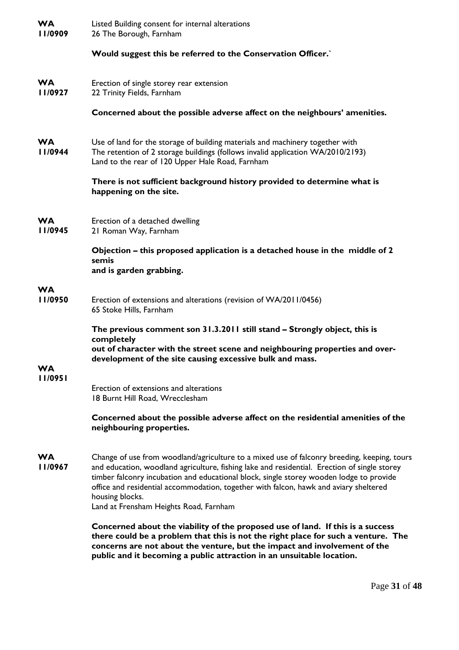| <b>WA</b><br>11/0909  | Listed Building consent for internal alterations<br>26 The Borough, Farnham                                                                                                                                                                                                                                                                                                                                                                  |
|-----------------------|----------------------------------------------------------------------------------------------------------------------------------------------------------------------------------------------------------------------------------------------------------------------------------------------------------------------------------------------------------------------------------------------------------------------------------------------|
|                       | Would suggest this be referred to the Conservation Officer.                                                                                                                                                                                                                                                                                                                                                                                  |
| <b>WA</b><br>11/0927  | Erection of single storey rear extension<br>22 Trinity Fields, Farnham                                                                                                                                                                                                                                                                                                                                                                       |
|                       | Concerned about the possible adverse affect on the neighbours' amenities.                                                                                                                                                                                                                                                                                                                                                                    |
| <b>WA</b><br>  1/0944 | Use of land for the storage of building materials and machinery together with<br>The retention of 2 storage buildings (follows invalid application WA/2010/2193)<br>Land to the rear of 120 Upper Hale Road, Farnham                                                                                                                                                                                                                         |
|                       | There is not sufficient background history provided to determine what is<br>happening on the site.                                                                                                                                                                                                                                                                                                                                           |
| <b>WA</b><br>11/0945  | Erection of a detached dwelling<br>21 Roman Way, Farnham                                                                                                                                                                                                                                                                                                                                                                                     |
|                       | Objection – this proposed application is a detached house in the middle of 2<br>semis<br>and is garden grabbing.                                                                                                                                                                                                                                                                                                                             |
| <b>WA</b><br>11/0950  | Erection of extensions and alterations (revision of WA/2011/0456)<br>65 Stoke Hills, Farnham                                                                                                                                                                                                                                                                                                                                                 |
|                       | The previous comment son 31.3.2011 still stand - Strongly object, this is<br>completely<br>out of character with the street scene and neighbouring properties and over-<br>development of the site causing excessive bulk and mass.                                                                                                                                                                                                          |
| <b>WA</b><br>11/0951  |                                                                                                                                                                                                                                                                                                                                                                                                                                              |
|                       | Erection of extensions and alterations<br>18 Burnt Hill Road, Wrecclesham                                                                                                                                                                                                                                                                                                                                                                    |
|                       | Concerned about the possible adverse affect on the residential amenities of the<br>neighbouring properties.                                                                                                                                                                                                                                                                                                                                  |
| <b>WA</b><br>11/0967  | Change of use from woodland/agriculture to a mixed use of falconry breeding, keeping, tours<br>and education, woodland agriculture, fishing lake and residential. Erection of single storey<br>timber falconry incubation and educational block, single storey wooden lodge to provide<br>office and residential accommodation, together with falcon, hawk and aviary sheltered<br>housing blocks.<br>Land at Frensham Heights Road, Farnham |
|                       | Concerned about the viability of the proposed use of land. If this is a success<br>there could be a problem that this is not the right place for such a venture. The<br>concerns are not about the venture, but the impact and involvement of the<br>public and it becoming a public attraction in an unsuitable location.                                                                                                                   |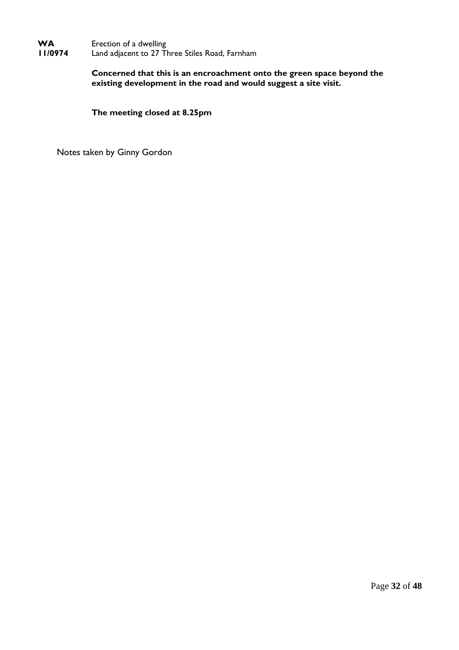#### **WA 11/0974**  Erection of a dwelling Land adjacent to 27 Three Stiles Road, Farnham

**Concerned that this is an encroachment onto the green space beyond the existing development in the road and would suggest a site visit.** 

**The meeting closed at 8.25pm** 

Notes taken by Ginny Gordon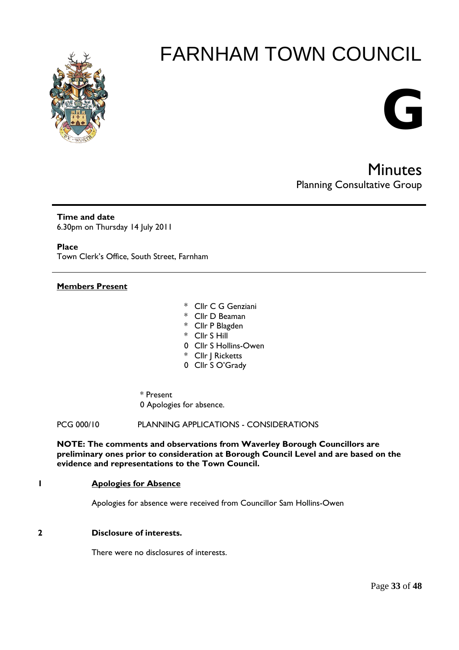

# **G**

Minutes Planning Consultative Group

**Time and date**  6.30pm on Thursday 14 July 2011

**Place** 

Town Clerk's Office, South Street, Farnham

# **Members Present**

- \* Cllr C G Genziani
- \* Cllr D Beaman
- \* Cllr P Blagden
- \* Cllr S Hill
- 0 Cllr S Hollins-Owen
- \* Cllr J Ricketts
- 0 Cllr S O'Grady
- \* Present 0 Apologies for absence.

PCG 000/10 PLANNING APPLICATIONS - CONSIDERATIONS

**NOTE: The comments and observations from Waverley Borough Councillors are preliminary ones prior to consideration at Borough Council Level and are based on the evidence and representations to the Town Council.** 

#### **1 Apologies for Absence**

Apologies for absence were received from Councillor Sam Hollins-Owen

# **2 Disclosure of interests.**

There were no disclosures of interests.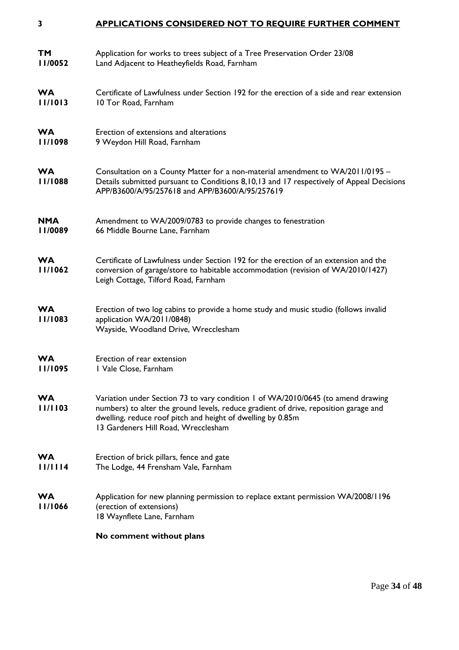#### **3 APPLICATIONS CONSIDERED NOT TO REQUIRE FURTHER COMMENT**

| <b>TM</b>            | Application for works to trees subject of a Tree Preservation Order 23/08                                                                                                                                                                                                      |
|----------------------|--------------------------------------------------------------------------------------------------------------------------------------------------------------------------------------------------------------------------------------------------------------------------------|
| 11/0052              | Land Adjacent to Heatheyfields Road, Farnham                                                                                                                                                                                                                                   |
| <b>WA</b>            | Certificate of Lawfulness under Section 192 for the erection of a side and rear extension                                                                                                                                                                                      |
| 11/1013              | 10 Tor Road, Farnham                                                                                                                                                                                                                                                           |
| <b>WA</b>            | Erection of extensions and alterations                                                                                                                                                                                                                                         |
| 11/1098              | 9 Weydon Hill Road, Farnham                                                                                                                                                                                                                                                    |
| <b>WA</b><br>11/1088 | Consultation on a County Matter for a non-material amendment to WA/2011/0195 -<br>Details submitted pursuant to Conditions 8,10,13 and 17 respectively of Appeal Decisions<br>APP/B3600/A/95/257618 and APP/B3600/A/95/257619                                                  |
| <b>NMA</b>           | Amendment to WA/2009/0783 to provide changes to fenestration                                                                                                                                                                                                                   |
| 11/0089              | 66 Middle Bourne Lane, Farnham                                                                                                                                                                                                                                                 |
| <b>WA</b><br>11/1062 | Certificate of Lawfulness under Section 192 for the erection of an extension and the<br>conversion of garage/store to habitable accommodation (revision of WA/2010/1427)<br>Leigh Cottage, Tilford Road, Farnham                                                               |
| <b>WA</b><br>11/1083 | Erection of two log cabins to provide a home study and music studio (follows invalid<br>application WA/2011/0848)<br>Wayside, Woodland Drive, Wrecclesham                                                                                                                      |
| <b>WA</b>            | Erection of rear extension                                                                                                                                                                                                                                                     |
| 11/1095              | I Vale Close, Farnham                                                                                                                                                                                                                                                          |
| <b>WA</b><br>11/1103 | Variation under Section 73 to vary condition 1 of WA/2010/0645 (to amend drawing<br>numbers) to alter the ground levels, reduce gradient of drive, reposition garage and<br>dwelling, reduce roof pitch and height of dwelling by 0.85m<br>13 Gardeners Hill Road, Wrecclesham |
| <b>WA</b>            | Erection of brick pillars, fence and gate                                                                                                                                                                                                                                      |
| 11/1114              | The Lodge, 44 Frensham Vale, Farnham                                                                                                                                                                                                                                           |
| <b>WA</b><br>11/1066 | Application for new planning permission to replace extant permission WA/2008/1196<br>(erection of extensions)<br>18 Waynflete Lane, Farnham                                                                                                                                    |
|                      | No comment without plans                                                                                                                                                                                                                                                       |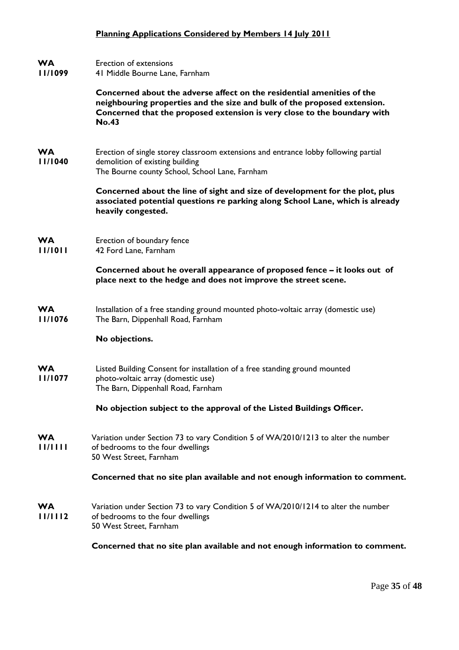#### **Planning Applications Considered by Members 14 July 2011**

#### **WA**  Erection of extensions

**11/1099**  41 Middle Bourne Lane, Farnham

> **Concerned about the adverse affect on the residential amenities of the neighbouring properties and the size and bulk of the proposed extension. Concerned that the proposed extension is very close to the boundary with No.43**

**WA 11/1040**  Erection of single storey classroom extensions and entrance lobby following partial demolition of existing building The Bourne county School, School Lane, Farnham

> **Concerned about the line of sight and size of development for the plot, plus associated potential questions re parking along School Lane, which is already heavily congested.**

**WA 11/1011**  Erection of boundary fence 42 Ford Lane, Farnham

> **Concerned about he overall appearance of proposed fence – it looks out of place next to the hedge and does not improve the street scene.**

**WA 11/1076**  Installation of a free standing ground mounted photo-voltaic array (domestic use) The Barn, Dippenhall Road, Farnham

#### **No objections.**

**WA 11/1077**  Listed Building Consent for installation of a free standing ground mounted photo-voltaic array (domestic use) The Barn, Dippenhall Road, Farnham

**No objection subject to the approval of the Listed Buildings Officer.** 

**WA 11/1111**  Variation under Section 73 to vary Condition 5 of WA/2010/1213 to alter the number of bedrooms to the four dwellings 50 West Street, Farnham

#### **Concerned that no site plan available and not enough information to comment.**

**WA 11/1112**  Variation under Section 73 to vary Condition 5 of WA/2010/1214 to alter the number of bedrooms to the four dwellings 50 West Street, Farnham

**Concerned that no site plan available and not enough information to comment.**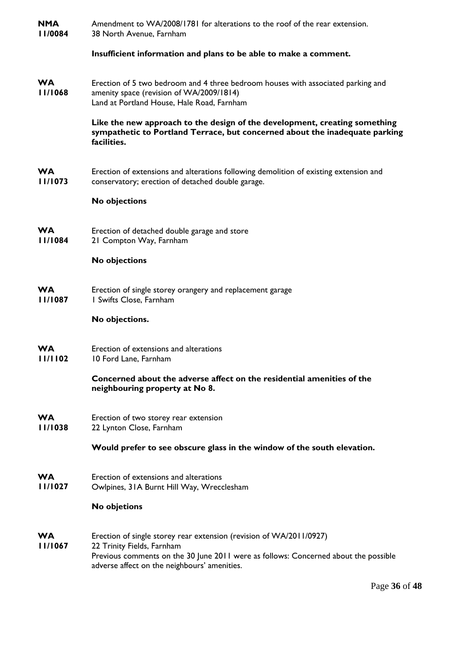| <b>NMA</b><br>  1/0084 | Amendment to WA/2008/1781 for alterations to the roof of the rear extension.<br>38 North Avenue, Farnham                                                                                                                                 |
|------------------------|------------------------------------------------------------------------------------------------------------------------------------------------------------------------------------------------------------------------------------------|
|                        | Insufficient information and plans to be able to make a comment.                                                                                                                                                                         |
| WA<br>11/1068          | Erection of 5 two bedroom and 4 three bedroom houses with associated parking and<br>amenity space (revision of WA/2009/1814)<br>Land at Portland House, Hale Road, Farnham                                                               |
|                        | Like the new approach to the design of the development, creating something<br>sympathetic to Portland Terrace, but concerned about the inadequate parking<br>facilities.                                                                 |
| WА<br>11/1073          | Erection of extensions and alterations following demolition of existing extension and<br>conservatory; erection of detached double garage.                                                                                               |
|                        | <b>No objections</b>                                                                                                                                                                                                                     |
| WA<br>11/1084          | Erection of detached double garage and store<br>21 Compton Way, Farnham                                                                                                                                                                  |
|                        | <b>No objections</b>                                                                                                                                                                                                                     |
| WA<br>11/1087          | Erection of single storey orangery and replacement garage<br>I Swifts Close, Farnham                                                                                                                                                     |
|                        | No objections.                                                                                                                                                                                                                           |
| WA<br>11/1102          | Erection of extensions and alterations<br>10 Ford Lane, Farnham                                                                                                                                                                          |
|                        | Concerned about the adverse affect on the residential amenities of the<br>neighbouring property at No 8.                                                                                                                                 |
| WA<br>11/1038          | Erection of two storey rear extension<br>22 Lynton Close, Farnham                                                                                                                                                                        |
|                        | Would prefer to see obscure glass in the window of the south elevation.                                                                                                                                                                  |
| WA<br>11/1027          | Erection of extensions and alterations<br>Owlpines, 31A Burnt Hill Way, Wrecclesham                                                                                                                                                      |
|                        | No objetions                                                                                                                                                                                                                             |
| WA<br>11/1067          | Erection of single storey rear extension (revision of WA/2011/0927)<br>22 Trinity Fields, Farnham<br>Previous comments on the 30 June 2011 were as follows: Concerned about the possible<br>adverse affect on the neighbours' amenities. |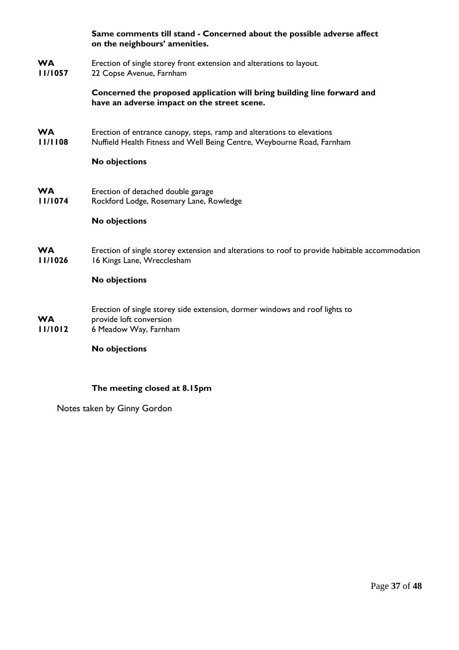|                      | Same comments till stand - Concerned about the possible adverse affect<br>on the neighbours' amenities.                                          |
|----------------------|--------------------------------------------------------------------------------------------------------------------------------------------------|
| <b>WA</b><br>11/1057 | Erection of single storey front extension and alterations to layout.<br>22 Copse Avenue, Farnham                                                 |
|                      | Concerned the proposed application will bring building line forward and<br>have an adverse impact on the street scene.                           |
| <b>WA</b><br>11/1108 | Erection of entrance canopy, steps, ramp and alterations to elevations<br>Nuffield Health Fitness and Well Being Centre, Weybourne Road, Farnham |
|                      | No objections                                                                                                                                    |
| <b>WA</b><br>11/1074 | Erection of detached double garage<br>Rockford Lodge, Rosemary Lane, Rowledge                                                                    |
|                      | No objections                                                                                                                                    |
| <b>WA</b><br>11/1026 | Erection of single storey extension and alterations to roof to provide habitable accommodation<br>16 Kings Lane, Wrecclesham                     |
|                      | <b>No objections</b>                                                                                                                             |
| <b>WA</b><br>11/1012 | Erection of single storey side extension, dormer windows and roof lights to<br>provide loft conversion<br>6 Meadow Way, Farnham                  |
|                      | <b>No objections</b>                                                                                                                             |

# **The meeting closed at 8.15pm**

Notes taken by Ginny Gordon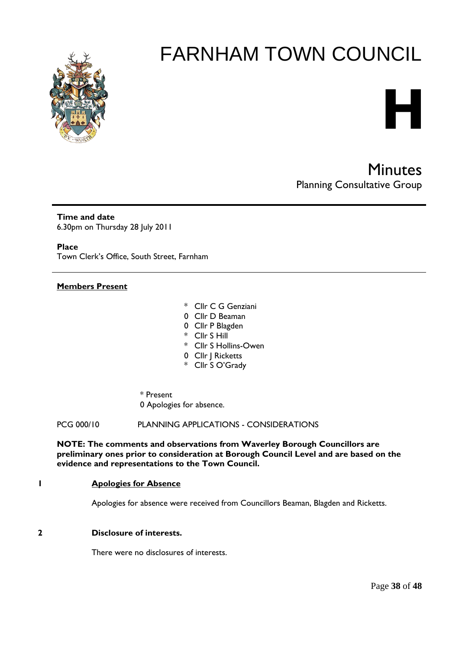

# **H**

Minutes Planning Consultative Group

**Time and date**  6.30pm on Thursday 28 July 2011

**Place** 

Town Clerk's Office, South Street, Farnham

#### **Members Present**

- \* Cllr C G Genziani
- 0 Cllr D Beaman
- 0 Cllr P Blagden
- \* Cllr S Hill
- \* Cllr S Hollins-Owen
- 0 Cllr | Ricketts
- \* Cllr S O'Grady
- \* Present 0 Apologies for absence.

PCG 000/10 PLANNING APPLICATIONS - CONSIDERATIONS

**NOTE: The comments and observations from Waverley Borough Councillors are preliminary ones prior to consideration at Borough Council Level and are based on the evidence and representations to the Town Council.** 

#### **1 Apologies for Absence**

Apologies for absence were received from Councillors Beaman, Blagden and Ricketts.

## **2 Disclosure of interests.**

There were no disclosures of interests.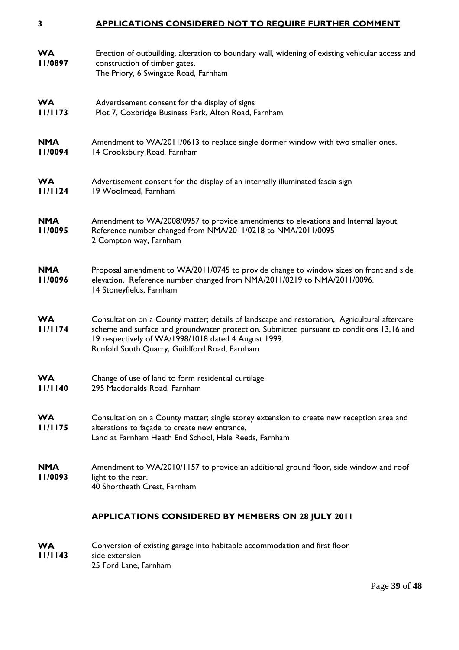#### **3 APPLICATIONS CONSIDERED NOT TO REQUIRE FURTHER COMMENT**

| <b>WA</b><br>11/0897  | Erection of outbuilding, alteration to boundary wall, widening of existing vehicular access and<br>construction of timber gates.<br>The Priory, 6 Swingate Road, Farnham                                                                                                                            |
|-----------------------|-----------------------------------------------------------------------------------------------------------------------------------------------------------------------------------------------------------------------------------------------------------------------------------------------------|
| <b>WA</b><br>11/1173  | Advertisement consent for the display of signs<br>Plot 7, Coxbridge Business Park, Alton Road, Farnham                                                                                                                                                                                              |
| <b>NMA</b><br>II/0094 | Amendment to WA/2011/0613 to replace single dormer window with two smaller ones.<br>14 Crooksbury Road, Farnham                                                                                                                                                                                     |
| <b>WA</b><br>11/1124  | Advertisement consent for the display of an internally illuminated fascia sign<br>19 Woolmead, Farnham                                                                                                                                                                                              |
| <b>NMA</b><br>11/0095 | Amendment to WA/2008/0957 to provide amendments to elevations and Internal layout.<br>Reference number changed from NMA/2011/0218 to NMA/2011/0095<br>2 Compton way, Farnham                                                                                                                        |
| <b>NMA</b><br>11/0096 | Proposal amendment to WA/2011/0745 to provide change to window sizes on front and side<br>elevation. Reference number changed from NMA/2011/0219 to NMA/2011/0096.<br>14 Stoneyfields, Farnham                                                                                                      |
| <b>WA</b><br>11/1174  | Consultation on a County matter; details of landscape and restoration, Agricultural aftercare<br>scheme and surface and groundwater protection. Submitted pursuant to conditions 13,16 and<br>19 respectively of WA/1998/1018 dated 4 August 1999.<br>Runfold South Quarry, Guildford Road, Farnham |
| <b>WA</b><br>11/1140  | Change of use of land to form residential curtilage<br>295 Macdonalds Road, Farnham                                                                                                                                                                                                                 |
| <b>WA</b><br>11/1175  | Consultation on a County matter; single storey extension to create new reception area and<br>alterations to façade to create new entrance,<br>Land at Farnham Heath End School, Hale Reeds, Farnham                                                                                                 |
| <b>NMA</b><br>11/0093 | Amendment to WA/2010/1157 to provide an additional ground floor, side window and roof<br>light to the rear.<br>40 Shortheath Crest, Farnham                                                                                                                                                         |
|                       | <b>APPLICATIONS CONSIDERED BY MEMBERS ON 28 JULY 2011</b>                                                                                                                                                                                                                                           |
| <b>WA</b><br>11/1143  | Conversion of existing garage into habitable accommodation and first floor<br>side extension<br>25 Ford Lane, Farnham                                                                                                                                                                               |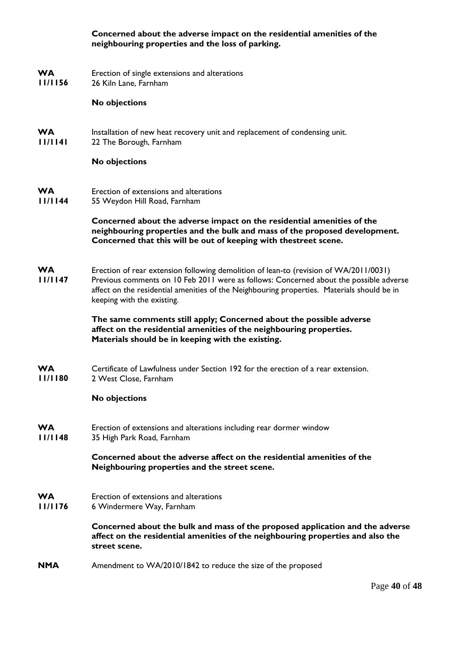## **Concerned about the adverse impact on the residential amenities of the neighbouring properties and the loss of parking.**

- **WA**  Erection of single extensions and alterations
- **11/1156**  26 Kiln Lane, Farnham

#### **No objections**

- **WA**  Installation of new heat recovery unit and replacement of condensing unit.
- **11/1141**  22 The Borough, Farnham

#### **No objections**

**WA 11/1144**  Erection of extensions and alterations 55 Weydon Hill Road, Farnham

# **Concerned about the adverse impact on the residential amenities of the neighbouring properties and the bulk and mass of the proposed development. Concerned that this will be out of keeping with thestreet scene.**

- **WA**  Erection of rear extension following demolition of lean-to (revision of WA/2011/0031)
- **11/1147**  Previous comments on 10 Feb 2011 were as follows: Concerned about the possible adverse affect on the residential amenities of the Neighbouring properties. Materials should be in keeping with the existing.

# **The same comments still apply; Concerned about the possible adverse affect on the residential amenities of the neighbouring properties. Materials should be in keeping with the existing.**

**WA 11/1180**  Certificate of Lawfulness under Section 192 for the erection of a rear extension. 2 West Close, Farnham

# **No objections**

- **WA**  Erection of extensions and alterations including rear dormer window
- **11/1148**  35 High Park Road, Farnham

**Concerned about the adverse affect on the residential amenities of the Neighbouring properties and the street scene.** 

- **WA**  Erection of extensions and alterations
- **11/1176**  6 Windermere Way, Farnham

**Concerned about the bulk and mass of the proposed application and the adverse affect on the residential amenities of the neighbouring properties and also the street scene.** 

**NMA**  Amendment to WA/2010/1842 to reduce the size of the proposed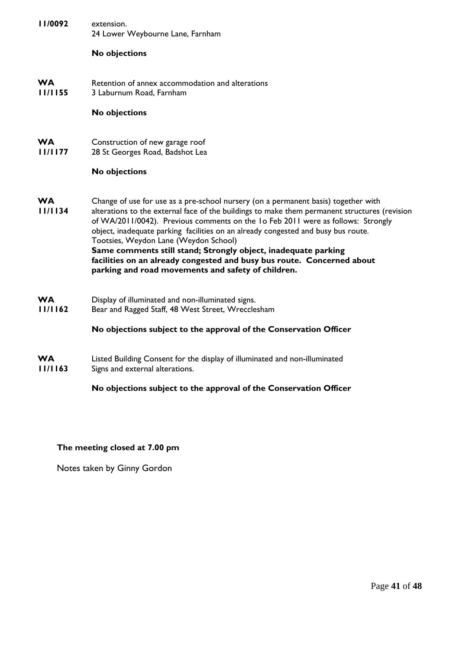| 11/0092              | extension.<br>24 Lower Weybourne Lane, Farnham                                                                                                                                                                                                                                                                                                                                                                                                                                                                                                                                                          |
|----------------------|---------------------------------------------------------------------------------------------------------------------------------------------------------------------------------------------------------------------------------------------------------------------------------------------------------------------------------------------------------------------------------------------------------------------------------------------------------------------------------------------------------------------------------------------------------------------------------------------------------|
|                      | No objections                                                                                                                                                                                                                                                                                                                                                                                                                                                                                                                                                                                           |
| <b>WA</b><br>11/1155 | Retention of annex accommodation and alterations<br>3 Laburnum Road, Farnham                                                                                                                                                                                                                                                                                                                                                                                                                                                                                                                            |
|                      | <b>No objections</b>                                                                                                                                                                                                                                                                                                                                                                                                                                                                                                                                                                                    |
| <b>WA</b><br>11/1177 | Construction of new garage roof<br>28 St Georges Road, Badshot Lea                                                                                                                                                                                                                                                                                                                                                                                                                                                                                                                                      |
|                      | No objections                                                                                                                                                                                                                                                                                                                                                                                                                                                                                                                                                                                           |
| <b>WA</b><br>11/1134 | Change of use for use as a pre-school nursery (on a permanent basis) together with<br>alterations to the external face of the buildings to make them permanent structures (revision<br>of WA/2011/0042). Previous comments on the 1o Feb 2011 were as follows: Strongly<br>object, inadequate parking facilities on an already congested and busy bus route.<br>Tootsies, Weydon Lane (Weydon School)<br>Same comments still stand; Strongly object, inadequate parking<br>facilities on an already congested and busy bus route. Concerned about<br>parking and road movements and safety of children. |
| <b>WA</b><br>11/1162 | Display of illuminated and non-illuminated signs.<br>Bear and Ragged Staff, 48 West Street, Wrecclesham                                                                                                                                                                                                                                                                                                                                                                                                                                                                                                 |
|                      | No objections subject to the approval of the Conservation Officer                                                                                                                                                                                                                                                                                                                                                                                                                                                                                                                                       |
| <b>WA</b><br>11/1163 | Listed Building Consent for the display of illuminated and non-illuminated<br>Signs and external alterations.                                                                                                                                                                                                                                                                                                                                                                                                                                                                                           |
|                      | No objections subject to the approval of the Conservation Officer                                                                                                                                                                                                                                                                                                                                                                                                                                                                                                                                       |

# **The meeting closed at 7.00 pm**

Notes taken by Ginny Gordon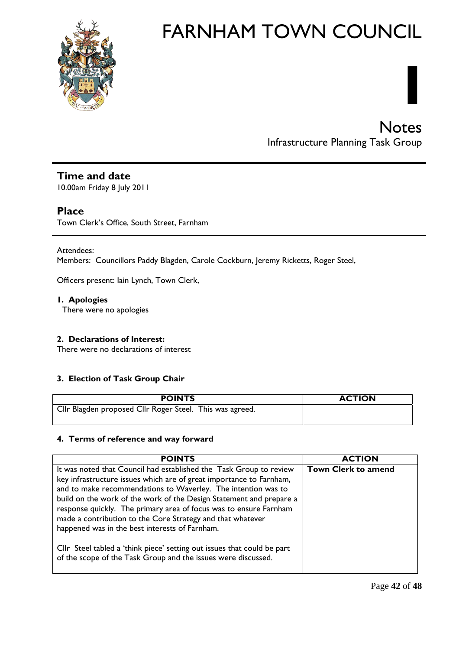

# **Notes** Infrastructure Planning Task Group

**I** 

# **Time and date**

10.00am Friday 8 July 2011

# **Place**

Town Clerk's Office, South Street, Farnham

Attendees:

Members: Councillors Paddy Blagden, Carole Cockburn, Jeremy Ricketts, Roger Steel,

Officers present: Iain Lynch, Town Clerk,

**1. Apologies** There were no apologies

# **2. Declarations of Interest:**

There were no declarations of interest

# **3. Election of Task Group Chair**

| <b>POINTS</b>                                            | <b>ACTION</b> |
|----------------------------------------------------------|---------------|
| Cllr Blagden proposed Cllr Roger Steel. This was agreed. |               |

# **4. Terms of reference and way forward**

| <b>POINTS</b>                                                                                                                                                                                                                                                                                                                                                                                                                                                          | <b>ACTION</b>              |
|------------------------------------------------------------------------------------------------------------------------------------------------------------------------------------------------------------------------------------------------------------------------------------------------------------------------------------------------------------------------------------------------------------------------------------------------------------------------|----------------------------|
| It was noted that Council had established the Task Group to review<br>key infrastructure issues which are of great importance to Farnham,<br>and to make recommendations to Waverley. The intention was to<br>build on the work of the work of the Design Statement and prepare a<br>response quickly. The primary area of focus was to ensure Farnham<br>made a contribution to the Core Strategy and that whatever<br>happened was in the best interests of Farnham. | <b>Town Clerk to amend</b> |
| Cllr Steel tabled a 'think piece' setting out issues that could be part<br>of the scope of the Task Group and the issues were discussed.                                                                                                                                                                                                                                                                                                                               |                            |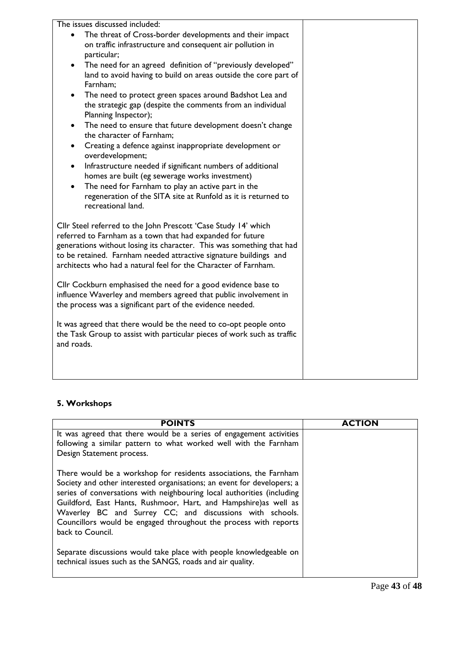| The issues discussed included:                                                           |  |
|------------------------------------------------------------------------------------------|--|
| The threat of Cross-border developments and their impact                                 |  |
| on traffic infrastructure and consequent air pollution in                                |  |
| particular;                                                                              |  |
| The need for an agreed definition of "previously developed"<br>$\bullet$                 |  |
| land to avoid having to build on areas outside the core part of<br>Farnham;              |  |
| The need to protect green spaces around Badshot Lea and<br>$\bullet$                     |  |
| the strategic gap (despite the comments from an individual                               |  |
| Planning Inspector);                                                                     |  |
| The need to ensure that future development doesn't change<br>$\bullet$                   |  |
| the character of Farnham;                                                                |  |
| Creating a defence against inappropriate development or<br>$\bullet$<br>overdevelopment; |  |
| Infrastructure needed if significant numbers of additional                               |  |
| homes are built (eg sewerage works investment)                                           |  |
| The need for Farnham to play an active part in the<br>$\bullet$                          |  |
| regeneration of the SITA site at Runfold as it is returned to                            |  |
| recreational land.                                                                       |  |
|                                                                                          |  |
| Cllr Steel referred to the John Prescott 'Case Study 14' which                           |  |
| referred to Farnham as a town that had expanded for future                               |  |
| generations without losing its character. This was something that had                    |  |
| to be retained. Farnham needed attractive signature buildings and                        |  |
| architects who had a natural feel for the Character of Farnham.                          |  |
|                                                                                          |  |
| Cllr Cockburn emphasised the need for a good evidence base to                            |  |
| influence Waverley and members agreed that public involvement in                         |  |
| the process was a significant part of the evidence needed.                               |  |
| It was agreed that there would be the need to co-opt people onto                         |  |
| the Task Group to assist with particular pieces of work such as traffic                  |  |
| and roads.                                                                               |  |
|                                                                                          |  |
|                                                                                          |  |
|                                                                                          |  |

# **5. Workshops**

| <b>POINTS</b>                                                                                                                                                                                                                                                                                                                                                                                                                                 | <b>ACTION</b> |
|-----------------------------------------------------------------------------------------------------------------------------------------------------------------------------------------------------------------------------------------------------------------------------------------------------------------------------------------------------------------------------------------------------------------------------------------------|---------------|
| It was agreed that there would be a series of engagement activities                                                                                                                                                                                                                                                                                                                                                                           |               |
| following a similar pattern to what worked well with the Farnham                                                                                                                                                                                                                                                                                                                                                                              |               |
| Design Statement process.                                                                                                                                                                                                                                                                                                                                                                                                                     |               |
| There would be a workshop for residents associations, the Farnham<br>Society and other interested organisations; an event for developers; a<br>series of conversations with neighbouring local authorities (including<br>Guildford, East Hants, Rushmoor, Hart, and Hampshire) as well as<br>Waverley BC and Surrey CC; and discussions with schools.<br>Councillors would be engaged throughout the process with reports<br>back to Council. |               |
| Separate discussions would take place with people knowledgeable on<br>technical issues such as the SANGS, roads and air quality.                                                                                                                                                                                                                                                                                                              |               |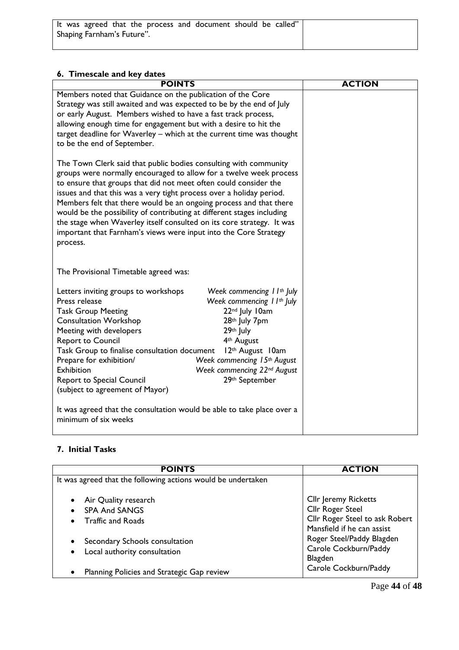| It was agreed that the process and document should be called" |  |  |  |  |
|---------------------------------------------------------------|--|--|--|--|
| Shaping Farnham's Future".                                    |  |  |  |  |
|                                                               |  |  |  |  |

# **6. Timescale and key dates**

| <b>POINTS</b>                                                                                                                                   |                                         | <b>ACTION</b> |
|-------------------------------------------------------------------------------------------------------------------------------------------------|-----------------------------------------|---------------|
| Members noted that Guidance on the publication of the Core                                                                                      |                                         |               |
| Strategy was still awaited and was expected to be by the end of July                                                                            |                                         |               |
| or early August. Members wished to have a fast track process,                                                                                   |                                         |               |
| allowing enough time for engagement but with a desire to hit the                                                                                |                                         |               |
| target deadline for Waverley - which at the current time was thought<br>to be the end of September.                                             |                                         |               |
|                                                                                                                                                 |                                         |               |
| The Town Clerk said that public bodies consulting with community                                                                                |                                         |               |
| groups were normally encouraged to allow for a twelve week process                                                                              |                                         |               |
| to ensure that groups that did not meet often could consider the                                                                                |                                         |               |
| issues and that this was a very tight process over a holiday period.                                                                            |                                         |               |
| Members felt that there would be an ongoing process and that there                                                                              |                                         |               |
| would be the possibility of contributing at different stages including<br>the stage when Waverley itself consulted on its core strategy. It was |                                         |               |
| important that Farnham's views were input into the Core Strategy                                                                                |                                         |               |
| process.                                                                                                                                        |                                         |               |
|                                                                                                                                                 |                                         |               |
|                                                                                                                                                 |                                         |               |
| The Provisional Timetable agreed was:                                                                                                           |                                         |               |
| Letters inviting groups to workshops                                                                                                            | Week commencing $11^{th}$ July          |               |
| Press release                                                                                                                                   | Week commencing 1 I <sup>th</sup> July  |               |
| <b>Task Group Meeting</b>                                                                                                                       | 22nd July 10am                          |               |
| <b>Consultation Workshop</b>                                                                                                                    | 28th July 7pm                           |               |
| Meeting with developers                                                                                                                         | 29th July                               |               |
| <b>Report to Council</b>                                                                                                                        | 4 <sup>th</sup> August                  |               |
| Task Group to finalise consultation document                                                                                                    | 12th August 10am                        |               |
| Prepare for exhibition/                                                                                                                         | Week commencing 15th August             |               |
| Exhibition                                                                                                                                      | Week commencing 22 <sup>nd</sup> August |               |
| <b>Report to Special Council</b><br>(subject to agreement of Mayor)                                                                             | 29th September                          |               |
|                                                                                                                                                 |                                         |               |
| It was agreed that the consultation would be able to take place over a                                                                          |                                         |               |
| minimum of six weeks                                                                                                                            |                                         |               |
|                                                                                                                                                 |                                         |               |

# **7. Initial Tasks**

| <b>POINTS</b>                                                            | <b>ACTION</b>                                                                                                   |  |  |  |
|--------------------------------------------------------------------------|-----------------------------------------------------------------------------------------------------------------|--|--|--|
| It was agreed that the following actions would be undertaken             |                                                                                                                 |  |  |  |
| Air Quality research<br><b>SPA And SANGS</b><br><b>Traffic and Roads</b> | <b>Cllr Jeremy Ricketts</b><br>Cllr Roger Steel<br>Cllr Roger Steel to ask Robert<br>Mansfield if he can assist |  |  |  |
| Secondary Schools consultation<br>Local authority consultation           | Roger Steel/Paddy Blagden<br>Carole Cockburn/Paddy<br><b>Blagden</b>                                            |  |  |  |
| Planning Policies and Strategic Gap review                               | Carole Cockburn/Paddy                                                                                           |  |  |  |

Page **44** of **48**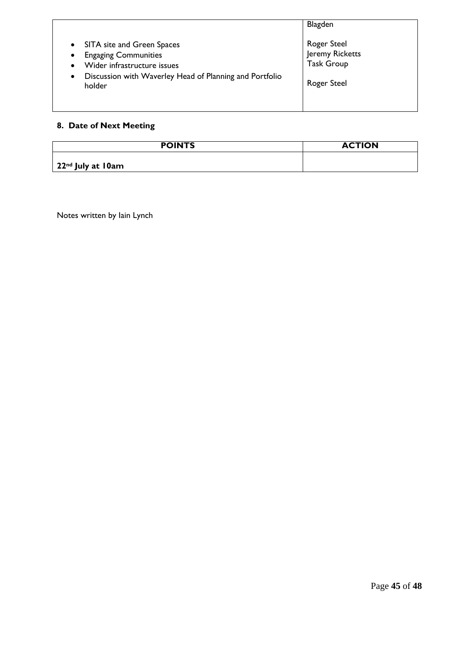| • SITA site and Green Spaces<br><b>Engaging Communities</b><br>$\bullet$<br>Wider infrastructure issues<br>٠<br>Discussion with Waverley Head of Planning and Portfolio<br>$\bullet$<br>holder | Blagden<br><b>Roger Steel</b><br>Jeremy Ricketts<br><b>Task Group</b><br><b>Roger Steel</b> |
|------------------------------------------------------------------------------------------------------------------------------------------------------------------------------------------------|---------------------------------------------------------------------------------------------|
|                                                                                                                                                                                                |                                                                                             |

# **8. Date of Next Meeting**

| <b>POINTS</b>                         | <b>ACTION</b> |
|---------------------------------------|---------------|
| $\vert$ 22 <sup>nd</sup> July at 10am |               |

Notes written by Iain Lynch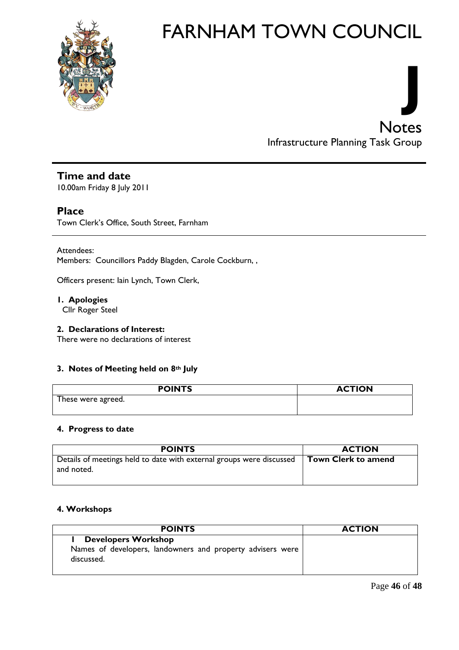



# **Time and date**

10.00am Friday 8 July 2011

# **Place**

Town Clerk's Office, South Street, Farnham

Attendees: Members: Councillors Paddy Blagden, Carole Cockburn, ,

Officers present: Iain Lynch, Town Clerk,

**1. Apologies** Cllr Roger Steel

# **2. Declarations of Interest:**

There were no declarations of interest

# **3. Notes of Meeting held on 8th July**

| <b>POINTS</b>      | <b>ACTION</b> |
|--------------------|---------------|
| These were agreed. |               |
|                    |               |

# **4. Progress to date**

| <b>POINTS</b>                                                                      | <b>ACTION</b>              |
|------------------------------------------------------------------------------------|----------------------------|
| Details of meetings held to date with external groups were discussed<br>and noted. | <b>Town Clerk to amend</b> |

# **4. Workshops**

| <b>POINTS</b>                                                            | <b>ACTION</b> |
|--------------------------------------------------------------------------|---------------|
| <b>Developers Workshop</b>                                               |               |
| Names of developers, landowners and property advisers were<br>discussed. |               |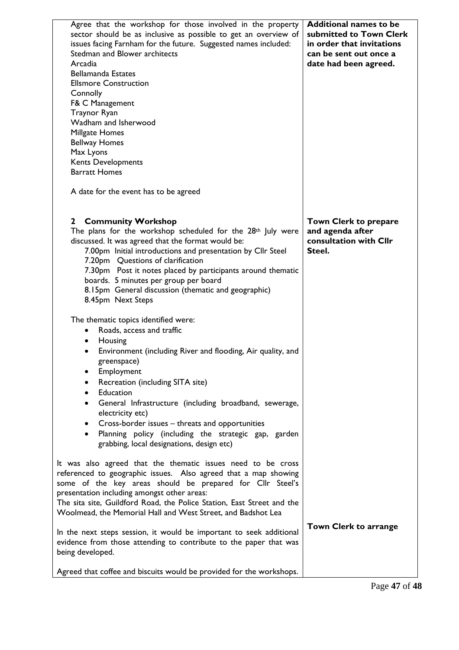| Agree that the workshop for those involved in the property<br>sector should be as inclusive as possible to get an overview of<br>issues facing Farnham for the future. Suggested names included:<br>Stedman and Blower architects<br>Arcadia<br><b>Bellamanda Estates</b><br><b>Ellsmore Construction</b><br>Connolly<br>F& C Management<br>Traynor Ryan<br>Wadham and Isherwood<br>Millgate Homes<br><b>Bellway Homes</b><br>Max Lyons<br>Kents Developments<br><b>Barratt Homes</b>                                                                                                                                         | <b>Additional names to be</b><br>submitted to Town Clerk<br>in order that invitations<br>can be sent out once a<br>date had been agreed. |
|-------------------------------------------------------------------------------------------------------------------------------------------------------------------------------------------------------------------------------------------------------------------------------------------------------------------------------------------------------------------------------------------------------------------------------------------------------------------------------------------------------------------------------------------------------------------------------------------------------------------------------|------------------------------------------------------------------------------------------------------------------------------------------|
| A date for the event has to be agreed                                                                                                                                                                                                                                                                                                                                                                                                                                                                                                                                                                                         |                                                                                                                                          |
| <b>Community Workshop</b><br>$\mathbf{2}$<br>The plans for the workshop scheduled for the 28th July were<br>discussed. It was agreed that the format would be:<br>7.00pm Initial introductions and presentation by Cllr Steel<br>7.20pm Questions of clarification<br>7.30pm Post it notes placed by participants around thematic<br>boards. 5 minutes per group per board<br>8.15pm General discussion (thematic and geographic)<br>8.45pm Next Steps                                                                                                                                                                        | Town Clerk to prepare<br>and agenda after<br>consultation with Cllr<br>Steel.                                                            |
| The thematic topics identified were:<br>Roads, access and traffic<br>$\bullet$<br>Housing<br>$\bullet$<br>Environment (including River and flooding, Air quality, and<br>greenspace)<br>Employment<br>٠<br>Recreation (including SITA site)<br>$\bullet$<br>Education<br>$\bullet$<br>General Infrastructure (including broadband, sewerage,<br>$\bullet$<br>electricity etc)<br>Cross-border issues - threats and opportunities<br>$\bullet$<br>Planning policy (including the strategic gap, garden<br>$\bullet$<br>grabbing, local designations, design etc)                                                               |                                                                                                                                          |
| It was also agreed that the thematic issues need to be cross<br>referenced to geographic issues. Also agreed that a map showing<br>some of the key areas should be prepared for Cllr Steel's<br>presentation including amongst other areas:<br>The sita site, Guildford Road, the Police Station, East Street and the<br>Woolmead, the Memorial Hall and West Street, and Badshot Lea<br>In the next steps session, it would be important to seek additional<br>evidence from those attending to contribute to the paper that was<br>being developed.<br>Agreed that coffee and biscuits would be provided for the workshops. | <b>Town Clerk to arrange</b>                                                                                                             |
|                                                                                                                                                                                                                                                                                                                                                                                                                                                                                                                                                                                                                               |                                                                                                                                          |